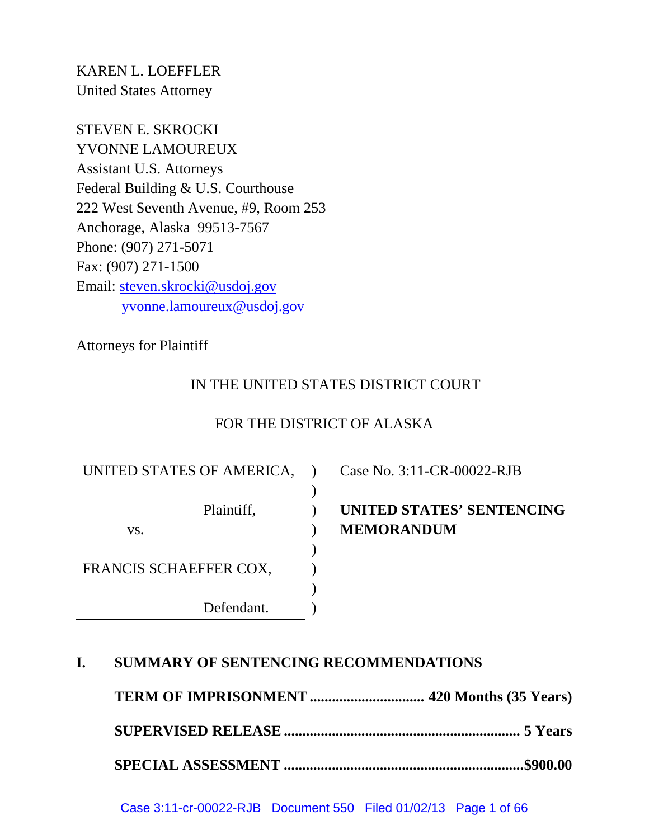KAREN L. LOEFFLER United States Attorney

STEVEN E. SKROCKI YVONNE LAMOUREUX Assistant U.S. Attorneys Federal Building & U.S. Courthouse 222 West Seventh Avenue, #9, Room 253 Anchorage, Alaska 99513-7567 Phone: (907) 271-5071 Fax: (907) 271-1500 Email: steven.skrocki@usdoj.gov yvonne.lamoureux@usdoj.gov

Attorneys for Plaintiff

# IN THE UNITED STATES DISTRICT COURT

# FOR THE DISTRICT OF ALASKA

) ) ) ) ) ) ) )

UNITED STATES OF AMERICA,

vs.

FRANCIS SCHAEFFER COX,

Defendant.

Plaintiff,

Case No. 3:11-CR-00022-RJB

# **UNITED STATES' SENTENCING MEMORANDUM**

# **I. SUMMARY OF SENTENCING RECOMMENDATIONS**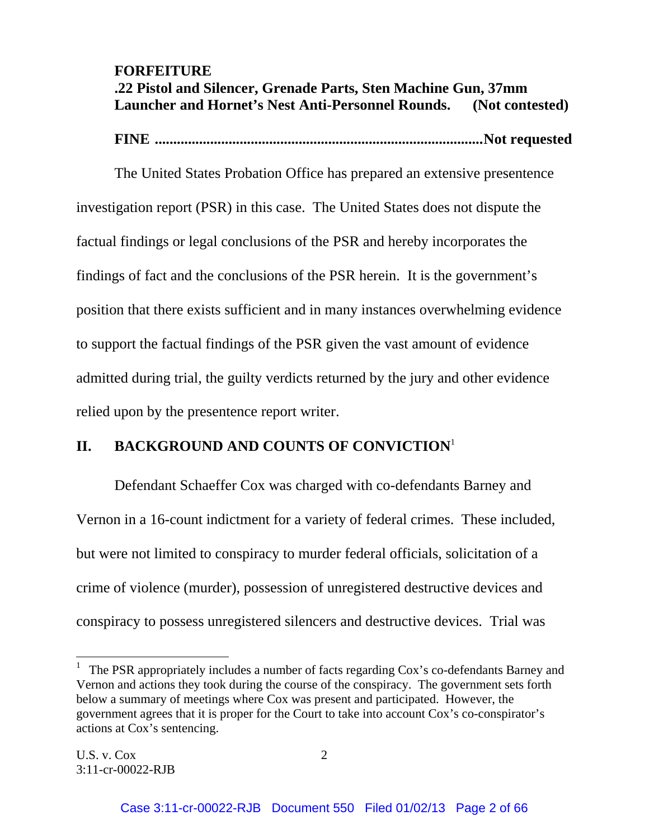# **FORFEITURE .22 Pistol and Silencer, Grenade Parts, Sten Machine Gun, 37mm Launcher and Hornet's Nest Anti-Personnel Rounds. (Not contested)**

 **FINE ......................................................................................... Not requested**

 The United States Probation Office has prepared an extensive presentence investigation report (PSR) in this case. The United States does not dispute the factual findings or legal conclusions of the PSR and hereby incorporates the findings of fact and the conclusions of the PSR herein. It is the government's position that there exists sufficient and in many instances overwhelming evidence to support the factual findings of the PSR given the vast amount of evidence admitted during trial, the guilty verdicts returned by the jury and other evidence relied upon by the presentence report writer.

# **II. BACKGROUND AND COUNTS OF CONVICTION**<sup>1</sup>

Defendant Schaeffer Cox was charged with co-defendants Barney and Vernon in a 16-count indictment for a variety of federal crimes. These included, but were not limited to conspiracy to murder federal officials, solicitation of a crime of violence (murder), possession of unregistered destructive devices and conspiracy to possess unregistered silencers and destructive devices. Trial was

l

<sup>&</sup>lt;sup>1</sup> The PSR appropriately includes a number of facts regarding Cox's co-defendants Barney and Vernon and actions they took during the course of the conspiracy. The government sets forth below a summary of meetings where Cox was present and participated. However, the government agrees that it is proper for the Court to take into account Cox's co-conspirator's actions at Cox's sentencing.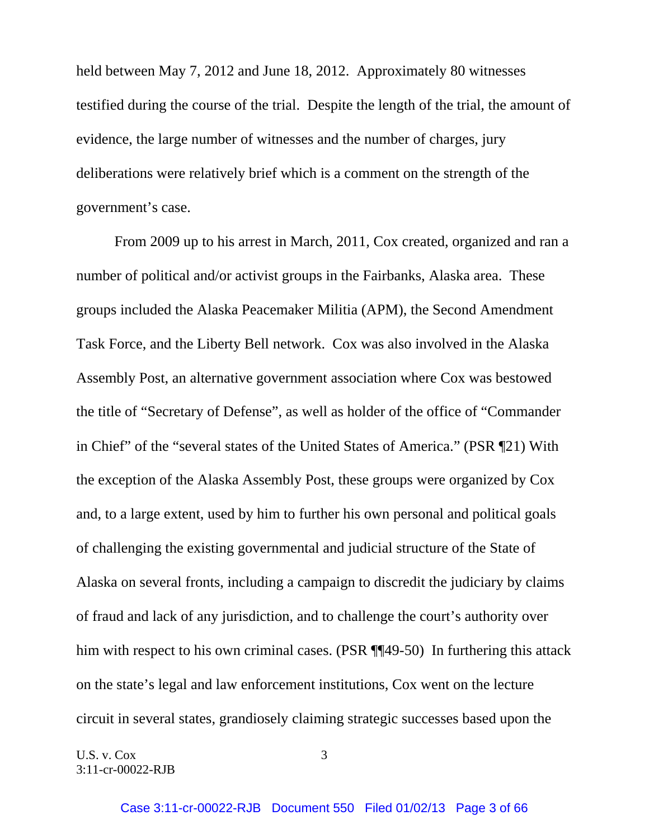held between May 7, 2012 and June 18, 2012. Approximately 80 witnesses testified during the course of the trial. Despite the length of the trial, the amount of evidence, the large number of witnesses and the number of charges, jury deliberations were relatively brief which is a comment on the strength of the government's case.

 From 2009 up to his arrest in March, 2011, Cox created, organized and ran a number of political and/or activist groups in the Fairbanks, Alaska area. These groups included the Alaska Peacemaker Militia (APM), the Second Amendment Task Force, and the Liberty Bell network. Cox was also involved in the Alaska Assembly Post, an alternative government association where Cox was bestowed the title of "Secretary of Defense", as well as holder of the office of "Commander in Chief" of the "several states of the United States of America." (PSR ¶21) With the exception of the Alaska Assembly Post, these groups were organized by Cox and, to a large extent, used by him to further his own personal and political goals of challenging the existing governmental and judicial structure of the State of Alaska on several fronts, including a campaign to discredit the judiciary by claims of fraud and lack of any jurisdiction, and to challenge the court's authority over him with respect to his own criminal cases. (PSR ¶¶49-50) In furthering this attack on the state's legal and law enforcement institutions, Cox went on the lecture circuit in several states, grandiosely claiming strategic successes based upon the

U.S. v.  $Cox$  3 3:11-cr-00022-RJB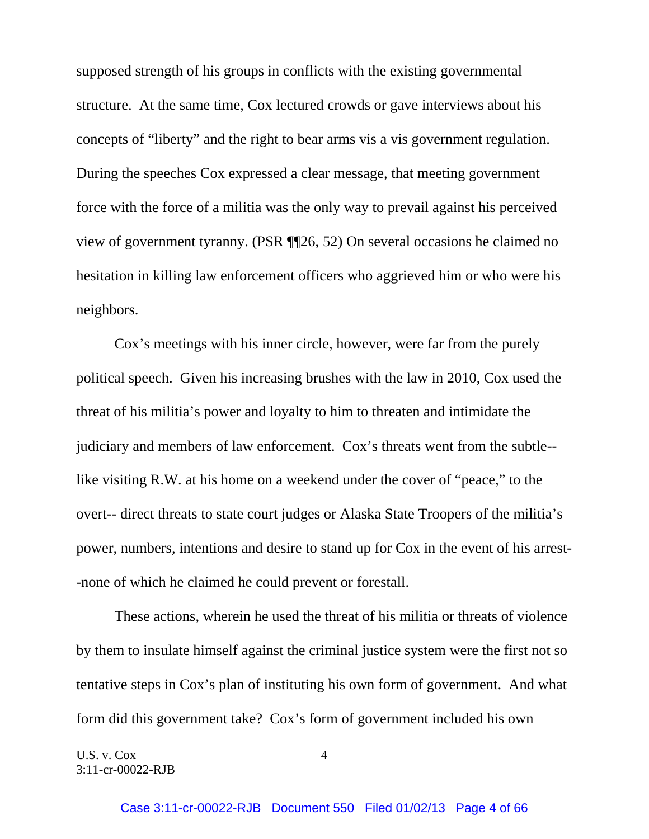supposed strength of his groups in conflicts with the existing governmental structure. At the same time, Cox lectured crowds or gave interviews about his concepts of "liberty" and the right to bear arms vis a vis government regulation. During the speeches Cox expressed a clear message, that meeting government force with the force of a militia was the only way to prevail against his perceived view of government tyranny. (PSR ¶¶26, 52) On several occasions he claimed no hesitation in killing law enforcement officers who aggrieved him or who were his neighbors.

 Cox's meetings with his inner circle, however, were far from the purely political speech. Given his increasing brushes with the law in 2010, Cox used the threat of his militia's power and loyalty to him to threaten and intimidate the judiciary and members of law enforcement. Cox's threats went from the subtle- like visiting R.W. at his home on a weekend under the cover of "peace," to the overt-- direct threats to state court judges or Alaska State Troopers of the militia's power, numbers, intentions and desire to stand up for Cox in the event of his arrest- -none of which he claimed he could prevent or forestall.

 These actions, wherein he used the threat of his militia or threats of violence by them to insulate himself against the criminal justice system were the first not so tentative steps in Cox's plan of instituting his own form of government. And what form did this government take? Cox's form of government included his own

U.S. v.  $Cox$  4 3:11-cr-00022-RJB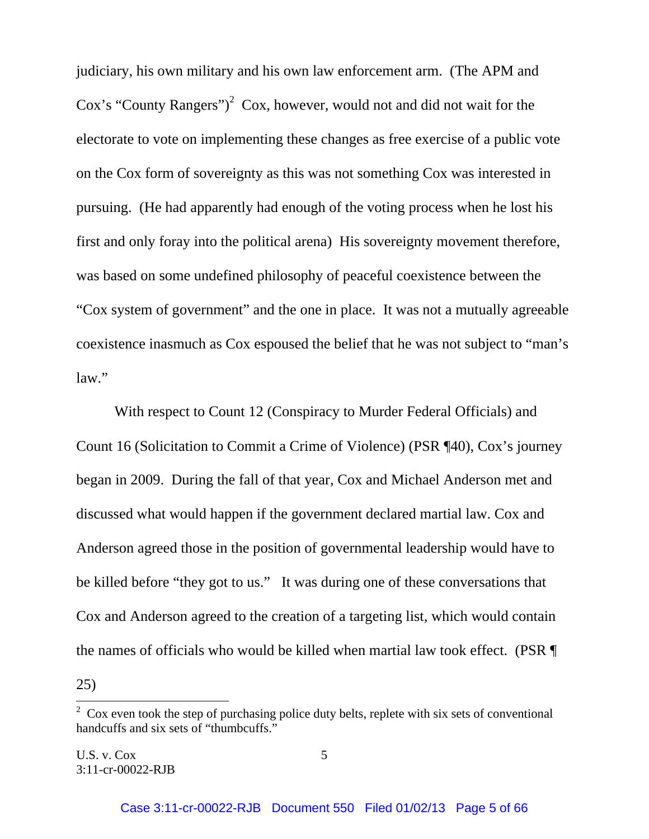judiciary, his own military and his own law enforcement arm. (The APM and Cox's "County Rangers")<sup>2</sup> Cox, however, would not and did not wait for the electorate to vote on implementing these changes as free exercise of a public vote on the Cox form of sovereignty as this was not something Cox was interested in pursuing. (He had apparently had enough of the voting process when he lost his first and only foray into the political arena) His sovereignty movement therefore, was based on some undefined philosophy of peaceful coexistence between the "Cox system of government" and the one in place. It was not a mutually agreeable coexistence inasmuch as Cox espoused the belief that he was not subject to "man's law."

 With respect to Count 12 (Conspiracy to Murder Federal Officials) and Count 16 (Solicitation to Commit a Crime of Violence) (PSR ¶40), Cox's journey began in 2009. During the fall of that year, Cox and Michael Anderson met and discussed what would happen if the government declared martial law. Cox and Anderson agreed those in the position of governmental leadership would have to be killed before "they got to us." It was during one of these conversations that Cox and Anderson agreed to the creation of a targeting list, which would contain the names of officials who would be killed when martial law took effect. (PSR ¶ 25)

<sup>&</sup>lt;sup>2</sup> Cox even took the step of purchasing police duty belts, replete with six sets of conventional handcuffs and six sets of "thumbcuffs."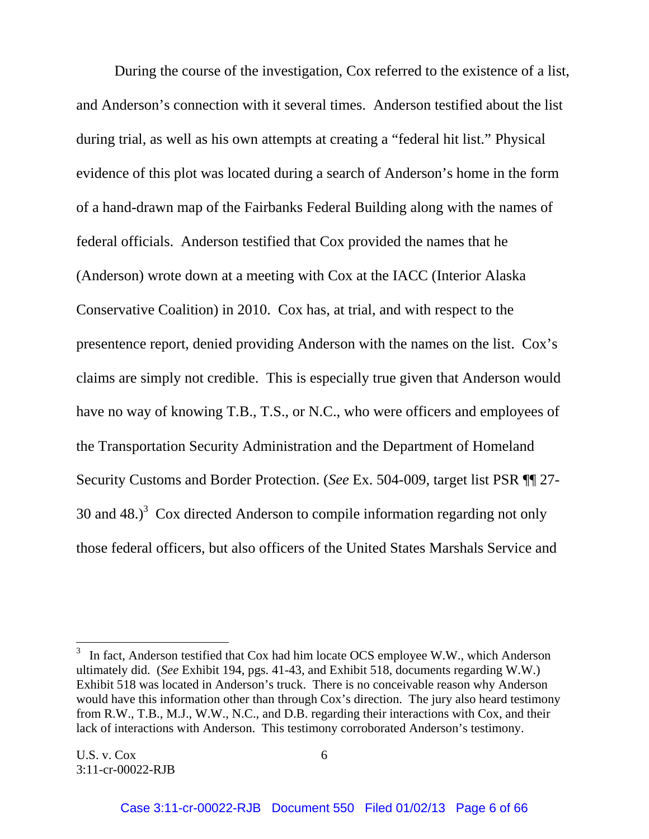During the course of the investigation, Cox referred to the existence of a list, and Anderson's connection with it several times. Anderson testified about the list during trial, as well as his own attempts at creating a "federal hit list." Physical evidence of this plot was located during a search of Anderson's home in the form of a hand-drawn map of the Fairbanks Federal Building along with the names of federal officials. Anderson testified that Cox provided the names that he (Anderson) wrote down at a meeting with Cox at the IACC (Interior Alaska Conservative Coalition) in 2010. Cox has, at trial, and with respect to the presentence report, denied providing Anderson with the names on the list. Cox's claims are simply not credible. This is especially true given that Anderson would have no way of knowing T.B., T.S., or N.C., who were officers and employees of the Transportation Security Administration and the Department of Homeland Security Customs and Border Protection. (*See* Ex. 504-009, target list PSR ¶¶ 27- 30 and 48.)<sup>3</sup> Cox directed Anderson to compile information regarding not only those federal officers, but also officers of the United States Marshals Service and

l

 $3\;\;$  In fact, Anderson testified that Cox had him locate OCS employee W.W., which Anderson ultimately did. (*See* Exhibit 194, pgs. 41-43, and Exhibit 518, documents regarding W.W.) Exhibit 518 was located in Anderson's truck. There is no conceivable reason why Anderson would have this information other than through Cox's direction. The jury also heard testimony from R.W., T.B., M.J., W.W., N.C., and D.B. regarding their interactions with Cox, and their lack of interactions with Anderson. This testimony corroborated Anderson's testimony.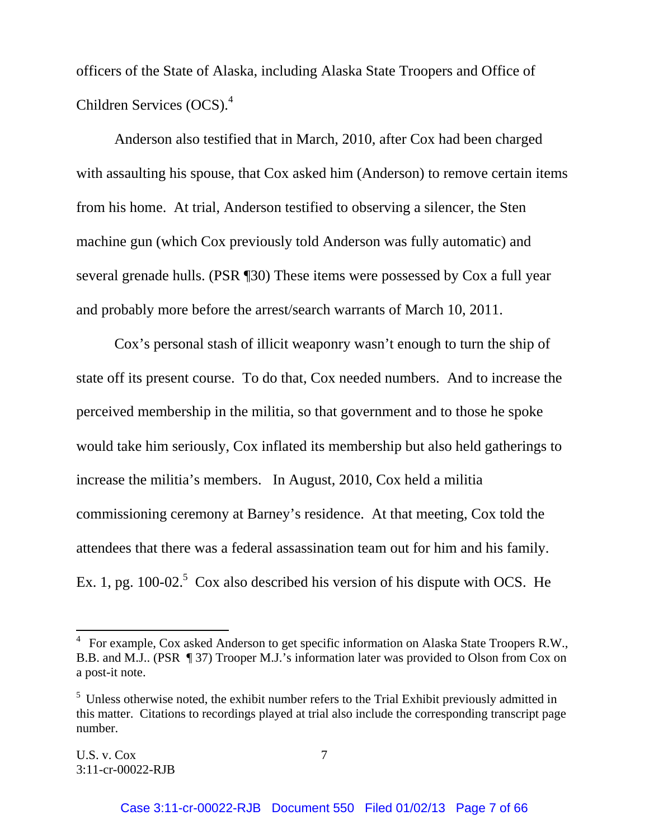officers of the State of Alaska, including Alaska State Troopers and Office of Children Services (OCS).4

Anderson also testified that in March, 2010, after Cox had been charged with assaulting his spouse, that Cox asked him (Anderson) to remove certain items from his home. At trial, Anderson testified to observing a silencer, the Sten machine gun (which Cox previously told Anderson was fully automatic) and several grenade hulls. (PSR ¶30) These items were possessed by Cox a full year and probably more before the arrest/search warrants of March 10, 2011.

 Cox's personal stash of illicit weaponry wasn't enough to turn the ship of state off its present course. To do that, Cox needed numbers. And to increase the perceived membership in the militia, so that government and to those he spoke would take him seriously, Cox inflated its membership but also held gatherings to increase the militia's members. In August, 2010, Cox held a militia commissioning ceremony at Barney's residence. At that meeting, Cox told the attendees that there was a federal assassination team out for him and his family. Ex. 1, pg. 100-02.<sup>5</sup> Cox also described his version of his dispute with OCS. He

l

 $4$  For example, Cox asked Anderson to get specific information on Alaska State Troopers R.W., B.B. and M.J.. (PSR ¶ 37) Trooper M.J.'s information later was provided to Olson from Cox on a post-it note.

 $<sup>5</sup>$  Unless otherwise noted, the exhibit number refers to the Trial Exhibit previously admitted in</sup> this matter. Citations to recordings played at trial also include the corresponding transcript page number.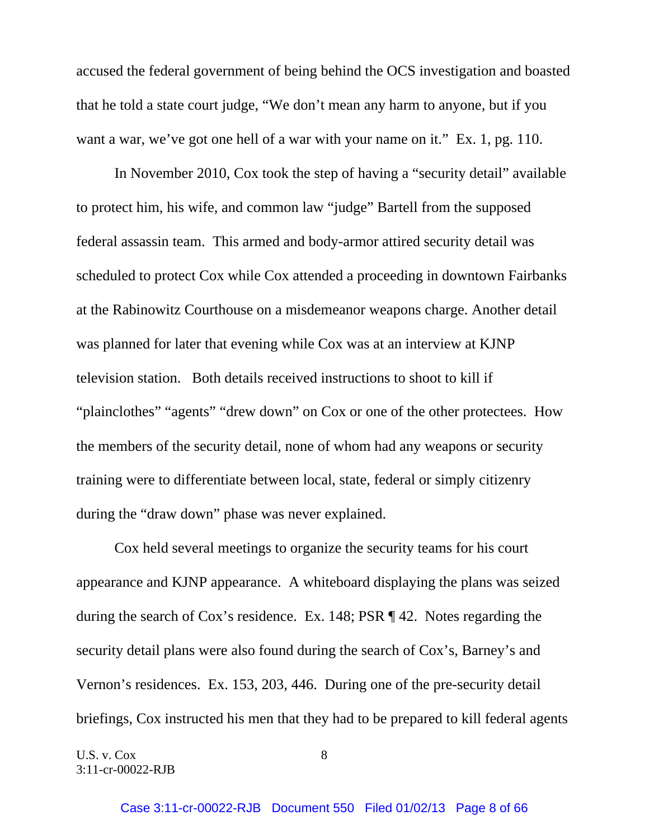accused the federal government of being behind the OCS investigation and boasted that he told a state court judge, "We don't mean any harm to anyone, but if you want a war, we've got one hell of a war with your name on it." Ex. 1, pg. 110.

In November 2010, Cox took the step of having a "security detail" available to protect him, his wife, and common law "judge" Bartell from the supposed federal assassin team. This armed and body-armor attired security detail was scheduled to protect Cox while Cox attended a proceeding in downtown Fairbanks at the Rabinowitz Courthouse on a misdemeanor weapons charge. Another detail was planned for later that evening while Cox was at an interview at KJNP television station. Both details received instructions to shoot to kill if "plainclothes" "agents" "drew down" on Cox or one of the other protectees. How the members of the security detail, none of whom had any weapons or security training were to differentiate between local, state, federal or simply citizenry during the "draw down" phase was never explained.

 Cox held several meetings to organize the security teams for his court appearance and KJNP appearance. A whiteboard displaying the plans was seized during the search of Cox's residence. Ex. 148; PSR ¶ 42. Notes regarding the security detail plans were also found during the search of Cox's, Barney's and Vernon's residences. Ex. 153, 203, 446. During one of the pre-security detail briefings, Cox instructed his men that they had to be prepared to kill federal agents

U.S. v.  $Cox$  8 3:11-cr-00022-RJB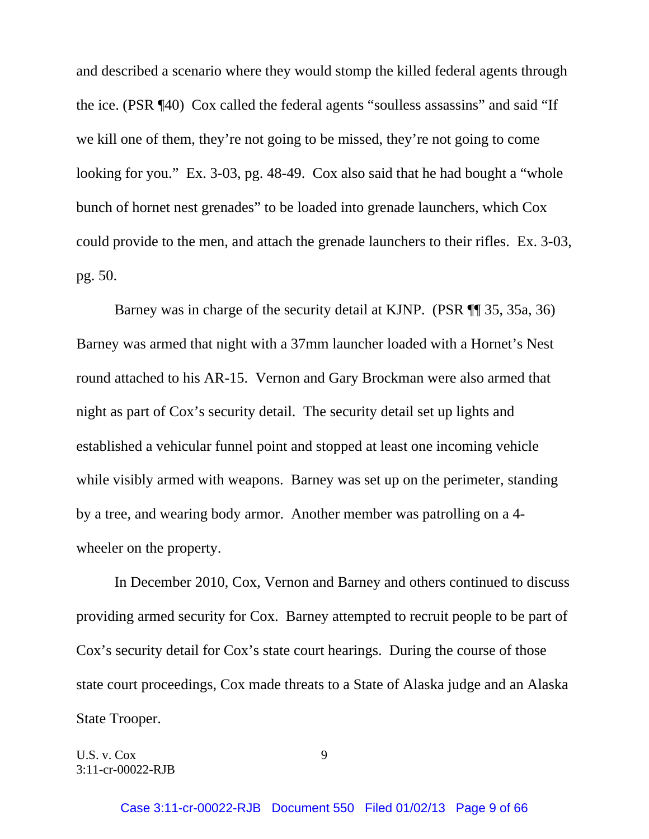and described a scenario where they would stomp the killed federal agents through the ice. (PSR ¶40) Cox called the federal agents "soulless assassins" and said "If we kill one of them, they're not going to be missed, they're not going to come looking for you." Ex. 3-03, pg. 48-49. Cox also said that he had bought a "whole" bunch of hornet nest grenades" to be loaded into grenade launchers, which Cox could provide to the men, and attach the grenade launchers to their rifles. Ex. 3-03, pg. 50.

Barney was in charge of the security detail at KJNP. (PSR ¶¶ 35, 35a, 36) Barney was armed that night with a 37mm launcher loaded with a Hornet's Nest round attached to his AR-15. Vernon and Gary Brockman were also armed that night as part of Cox's security detail. The security detail set up lights and established a vehicular funnel point and stopped at least one incoming vehicle while visibly armed with weapons. Barney was set up on the perimeter, standing by a tree, and wearing body armor. Another member was patrolling on a 4 wheeler on the property.

 In December 2010, Cox, Vernon and Barney and others continued to discuss providing armed security for Cox. Barney attempted to recruit people to be part of Cox's security detail for Cox's state court hearings. During the course of those state court proceedings, Cox made threats to a State of Alaska judge and an Alaska State Trooper.

U.S. v.  $Cox$  9 3:11-cr-00022-RJB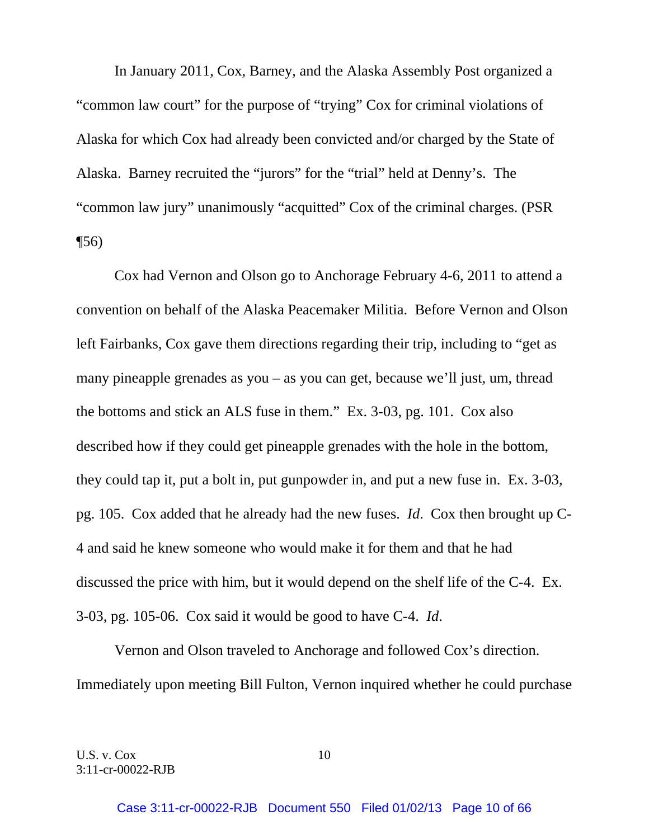In January 2011, Cox, Barney, and the Alaska Assembly Post organized a "common law court" for the purpose of "trying" Cox for criminal violations of Alaska for which Cox had already been convicted and/or charged by the State of Alaska. Barney recruited the "jurors" for the "trial" held at Denny's. The "common law jury" unanimously "acquitted" Cox of the criminal charges. (PSR  $\P(56)$ 

 Cox had Vernon and Olson go to Anchorage February 4-6, 2011 to attend a convention on behalf of the Alaska Peacemaker Militia. Before Vernon and Olson left Fairbanks, Cox gave them directions regarding their trip, including to "get as many pineapple grenades as you – as you can get, because we'll just, um, thread the bottoms and stick an ALS fuse in them." Ex. 3-03, pg. 101. Cox also described how if they could get pineapple grenades with the hole in the bottom, they could tap it, put a bolt in, put gunpowder in, and put a new fuse in. Ex. 3-03, pg. 105. Cox added that he already had the new fuses. *Id*. Cox then brought up C-4 and said he knew someone who would make it for them and that he had discussed the price with him, but it would depend on the shelf life of the C-4. Ex. 3-03, pg. 105-06. Cox said it would be good to have C-4. *Id*.

 Vernon and Olson traveled to Anchorage and followed Cox's direction. Immediately upon meeting Bill Fulton, Vernon inquired whether he could purchase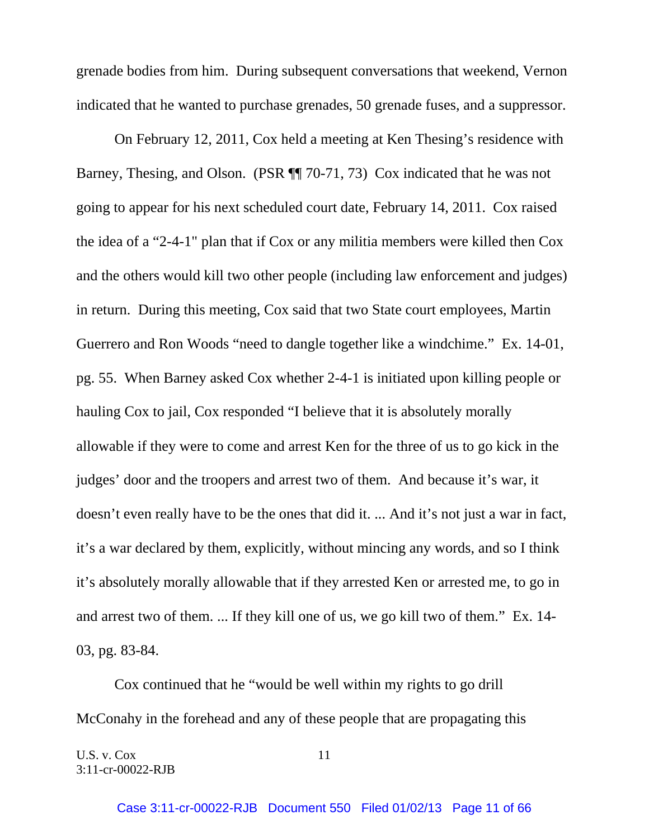grenade bodies from him. During subsequent conversations that weekend, Vernon indicated that he wanted to purchase grenades, 50 grenade fuses, and a suppressor.

 On February 12, 2011, Cox held a meeting at Ken Thesing's residence with Barney, Thesing, and Olson. (PSR ¶¶ 70-71, 73) Cox indicated that he was not going to appear for his next scheduled court date, February 14, 2011. Cox raised the idea of a "2-4-1" plan that if Cox or any militia members were killed then Cox and the others would kill two other people (including law enforcement and judges) in return. During this meeting, Cox said that two State court employees, Martin Guerrero and Ron Woods "need to dangle together like a windchime." Ex. 14-01, pg. 55. When Barney asked Cox whether 2-4-1 is initiated upon killing people or hauling Cox to jail, Cox responded "I believe that it is absolutely morally allowable if they were to come and arrest Ken for the three of us to go kick in the judges' door and the troopers and arrest two of them. And because it's war, it doesn't even really have to be the ones that did it. ... And it's not just a war in fact, it's a war declared by them, explicitly, without mincing any words, and so I think it's absolutely morally allowable that if they arrested Ken or arrested me, to go in and arrest two of them. ... If they kill one of us, we go kill two of them." Ex. 14- 03, pg. 83-84.

 Cox continued that he "would be well within my rights to go drill McConahy in the forehead and any of these people that are propagating this

U.S. v. Cox 11 3:11-cr-00022-RJB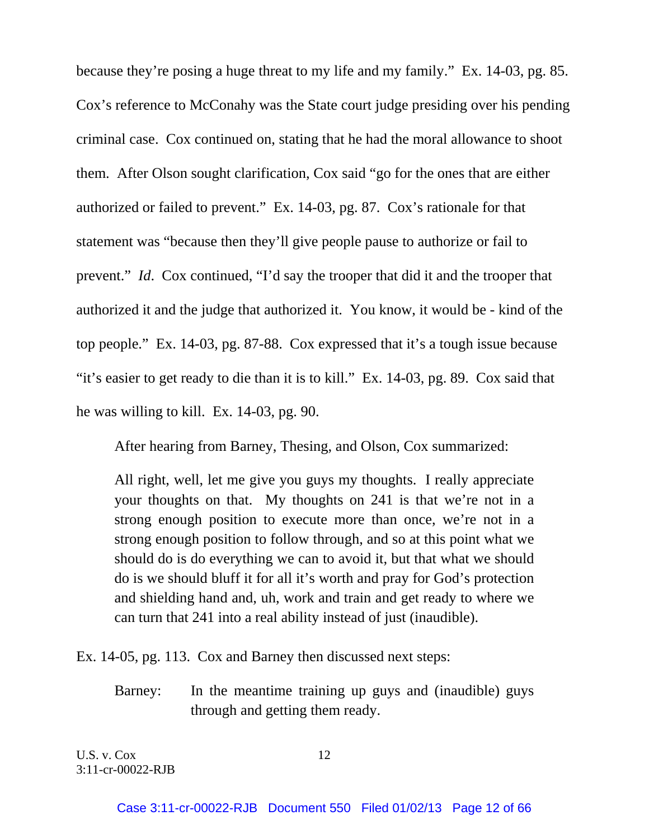because they're posing a huge threat to my life and my family." Ex. 14-03, pg. 85. Cox's reference to McConahy was the State court judge presiding over his pending criminal case. Cox continued on, stating that he had the moral allowance to shoot them. After Olson sought clarification, Cox said "go for the ones that are either authorized or failed to prevent." Ex. 14-03, pg. 87. Cox's rationale for that statement was "because then they'll give people pause to authorize or fail to prevent." *Id*. Cox continued, "I'd say the trooper that did it and the trooper that authorized it and the judge that authorized it. You know, it would be - kind of the top people." Ex. 14-03, pg. 87-88. Cox expressed that it's a tough issue because "it's easier to get ready to die than it is to kill." Ex. 14-03, pg. 89. Cox said that he was willing to kill. Ex. 14-03, pg. 90.

After hearing from Barney, Thesing, and Olson, Cox summarized:

All right, well, let me give you guys my thoughts. I really appreciate your thoughts on that. My thoughts on 241 is that we're not in a strong enough position to execute more than once, we're not in a strong enough position to follow through, and so at this point what we should do is do everything we can to avoid it, but that what we should do is we should bluff it for all it's worth and pray for God's protection and shielding hand and, uh, work and train and get ready to where we can turn that 241 into a real ability instead of just (inaudible).

Ex. 14-05, pg. 113. Cox and Barney then discussed next steps:

Barney: In the meantime training up guys and (inaudible) guys through and getting them ready.

U.S. v.  $Cox$  12 3:11-cr-00022-RJB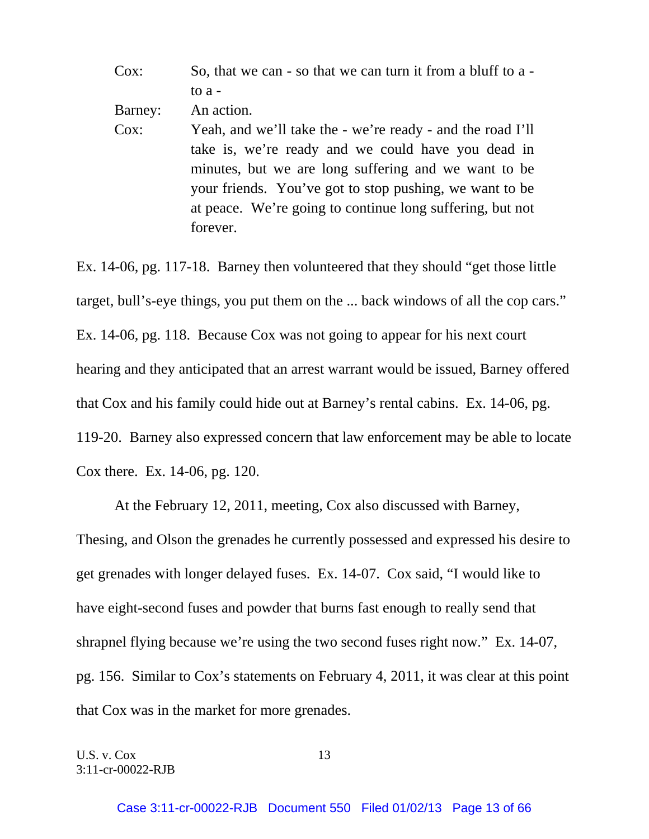| Cox:    | So, that we can - so that we can turn it from a bluff to a - |
|---------|--------------------------------------------------------------|
|         | to $a -$                                                     |
| Barney: | An action.                                                   |
| $Cox$ : | Yeah, and we'll take the - we're ready - and the road I'll   |
|         | take is, we're ready and we could have you dead in           |
|         | minutes, but we are long suffering and we want to be         |
|         | your friends. You've got to stop pushing, we want to be      |
|         | at peace. We're going to continue long suffering, but not    |
|         | forever.                                                     |

Ex. 14-06, pg. 117-18. Barney then volunteered that they should "get those little target, bull's-eye things, you put them on the ... back windows of all the cop cars." Ex. 14-06, pg. 118. Because Cox was not going to appear for his next court hearing and they anticipated that an arrest warrant would be issued, Barney offered that Cox and his family could hide out at Barney's rental cabins. Ex. 14-06, pg. 119-20. Barney also expressed concern that law enforcement may be able to locate Cox there. Ex. 14-06, pg. 120.

 At the February 12, 2011, meeting, Cox also discussed with Barney, Thesing, and Olson the grenades he currently possessed and expressed his desire to get grenades with longer delayed fuses. Ex. 14-07. Cox said, "I would like to have eight-second fuses and powder that burns fast enough to really send that shrapnel flying because we're using the two second fuses right now." Ex. 14-07, pg. 156. Similar to Cox's statements on February 4, 2011, it was clear at this point that Cox was in the market for more grenades.

U.S. v.  $Cox$  13 3:11-cr-00022-RJB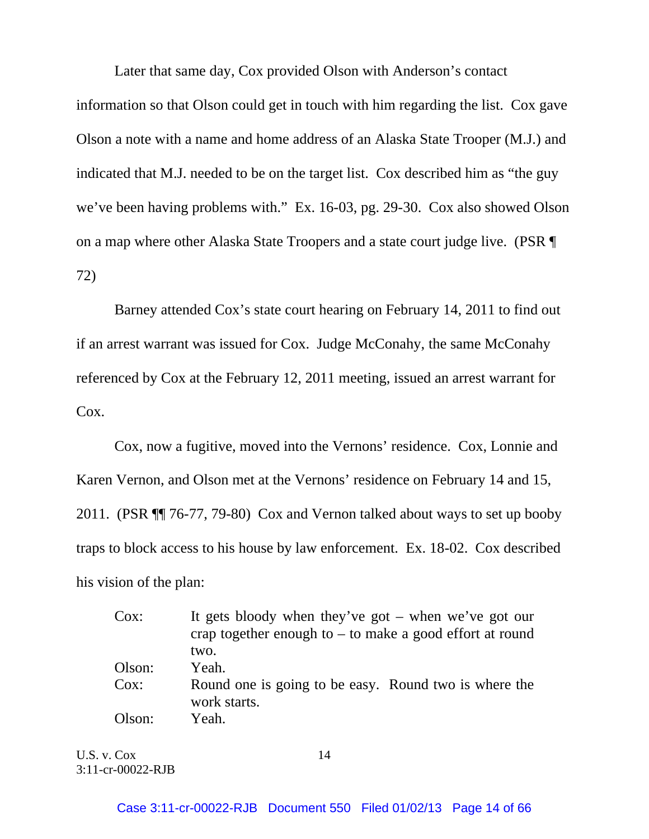Later that same day, Cox provided Olson with Anderson's contact information so that Olson could get in touch with him regarding the list. Cox gave Olson a note with a name and home address of an Alaska State Trooper (M.J.) and indicated that M.J. needed to be on the target list. Cox described him as "the guy we've been having problems with." Ex. 16-03, pg. 29-30. Cox also showed Olson on a map where other Alaska State Troopers and a state court judge live. (PSR ¶ 72)

 Barney attended Cox's state court hearing on February 14, 2011 to find out if an arrest warrant was issued for Cox. Judge McConahy, the same McConahy referenced by Cox at the February 12, 2011 meeting, issued an arrest warrant for Cox.

Cox, now a fugitive, moved into the Vernons' residence. Cox, Lonnie and Karen Vernon, and Olson met at the Vernons' residence on February 14 and 15, 2011. (PSR ¶¶ 76-77, 79-80) Cox and Vernon talked about ways to set up booby traps to block access to his house by law enforcement. Ex. 18-02. Cox described his vision of the plan:

| Cox:   | It gets bloody when they've got $-$ when we've got our                |
|--------|-----------------------------------------------------------------------|
|        | crap together enough to $-$ to make a good effort at round            |
|        | two.                                                                  |
| Olson: | Yeah.                                                                 |
| Cox:   | Round one is going to be easy. Round two is where the<br>work starts. |
| Olson: | Yeah.                                                                 |

U.S. v. Cox 14 3:11-cr-00022-RJB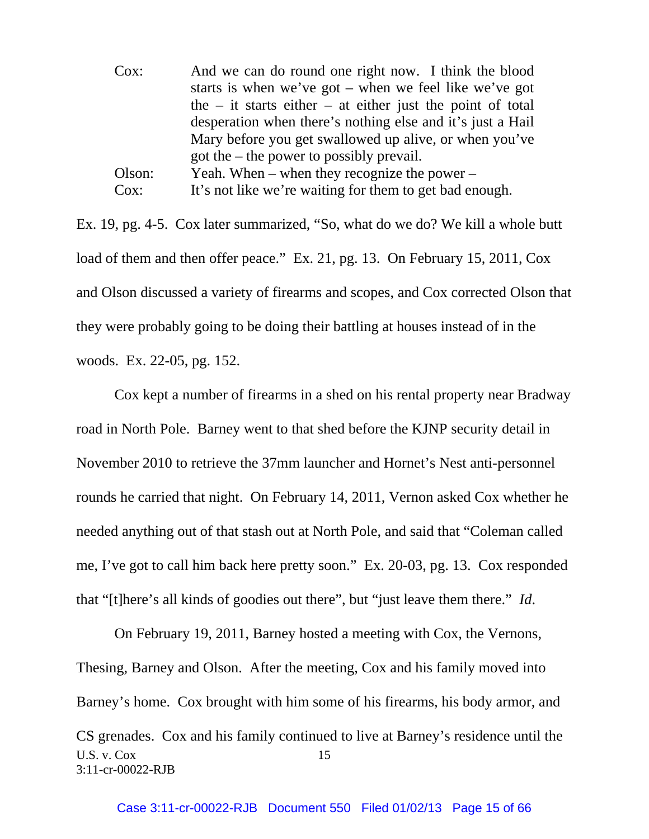| Cox:    | And we can do round one right now. I think the blood           |
|---------|----------------------------------------------------------------|
|         | starts is when we've got – when we feel like we've got         |
|         | the $-$ it starts either $-$ at either just the point of total |
|         | desperation when there's nothing else and it's just a Hail     |
|         | Mary before you get swallowed up alive, or when you've         |
|         | got the $-$ the power to possibly prevail.                     |
| Olson:  | Yeah. When – when they recognize the power –                   |
| $Cox$ : | It's not like we're waiting for them to get bad enough.        |

Ex. 19, pg. 4-5. Cox later summarized, "So, what do we do? We kill a whole butt load of them and then offer peace." Ex. 21, pg. 13. On February 15, 2011, Cox and Olson discussed a variety of firearms and scopes, and Cox corrected Olson that they were probably going to be doing their battling at houses instead of in the woods. Ex. 22-05, pg. 152.

 Cox kept a number of firearms in a shed on his rental property near Bradway road in North Pole. Barney went to that shed before the KJNP security detail in November 2010 to retrieve the 37mm launcher and Hornet's Nest anti-personnel rounds he carried that night. On February 14, 2011, Vernon asked Cox whether he needed anything out of that stash out at North Pole, and said that "Coleman called me, I've got to call him back here pretty soon." Ex. 20-03, pg. 13. Cox responded that "[t]here's all kinds of goodies out there", but "just leave them there." *Id*.

U.S. v.  $Cox$  15 3:11-cr-00022-RJB On February 19, 2011, Barney hosted a meeting with Cox, the Vernons, Thesing, Barney and Olson. After the meeting, Cox and his family moved into Barney's home. Cox brought with him some of his firearms, his body armor, and CS grenades. Cox and his family continued to live at Barney's residence until the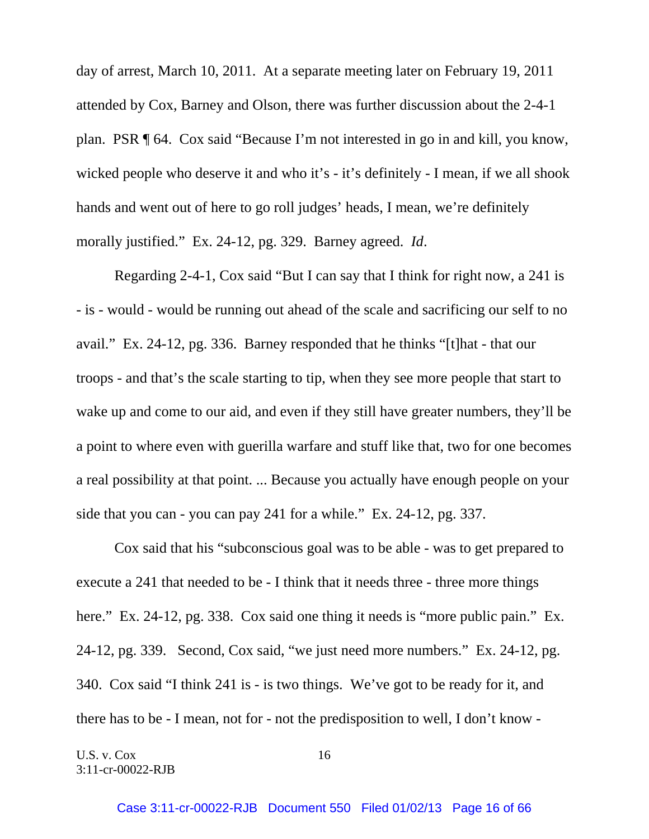day of arrest, March 10, 2011. At a separate meeting later on February 19, 2011 attended by Cox, Barney and Olson, there was further discussion about the 2-4-1 plan. PSR ¶ 64. Cox said "Because I'm not interested in go in and kill, you know, wicked people who deserve it and who it's - it's definitely - I mean, if we all shook hands and went out of here to go roll judges' heads, I mean, we're definitely morally justified." Ex. 24-12, pg. 329. Barney agreed. *Id*.

 Regarding 2-4-1, Cox said "But I can say that I think for right now, a 241 is - is - would - would be running out ahead of the scale and sacrificing our self to no avail." Ex. 24-12, pg. 336. Barney responded that he thinks "[t]hat - that our troops - and that's the scale starting to tip, when they see more people that start to wake up and come to our aid, and even if they still have greater numbers, they'll be a point to where even with guerilla warfare and stuff like that, two for one becomes a real possibility at that point. ... Because you actually have enough people on your side that you can - you can pay 241 for a while." Ex. 24-12, pg. 337.

 Cox said that his "subconscious goal was to be able - was to get prepared to execute a 241 that needed to be - I think that it needs three - three more things here." Ex. 24-12, pg. 338. Cox said one thing it needs is "more public pain." Ex. 24-12, pg. 339. Second, Cox said, "we just need more numbers." Ex. 24-12, pg. 340. Cox said "I think 241 is - is two things. We've got to be ready for it, and there has to be - I mean, not for - not the predisposition to well, I don't know -

U.S. v. Cox 16 3:11-cr-00022-RJB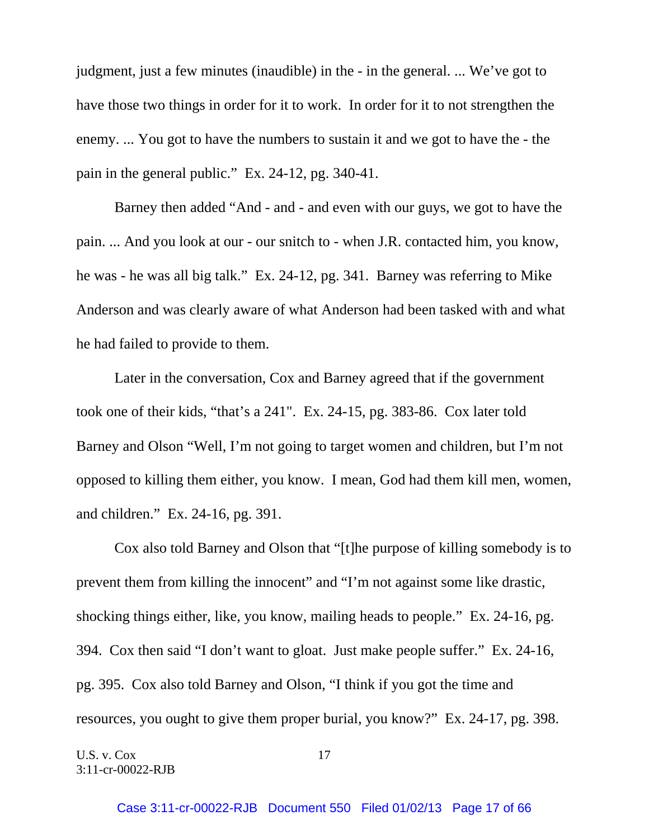judgment, just a few minutes (inaudible) in the - in the general. ... We've got to have those two things in order for it to work. In order for it to not strengthen the enemy. ... You got to have the numbers to sustain it and we got to have the - the pain in the general public." Ex. 24-12, pg. 340-41.

 Barney then added "And - and - and even with our guys, we got to have the pain. ... And you look at our - our snitch to - when J.R. contacted him, you know, he was - he was all big talk." Ex. 24-12, pg. 341. Barney was referring to Mike Anderson and was clearly aware of what Anderson had been tasked with and what he had failed to provide to them.

 Later in the conversation, Cox and Barney agreed that if the government took one of their kids, "that's a 241". Ex. 24-15, pg. 383-86. Cox later told Barney and Olson "Well, I'm not going to target women and children, but I'm not opposed to killing them either, you know. I mean, God had them kill men, women, and children." Ex. 24-16, pg. 391.

 Cox also told Barney and Olson that "[t]he purpose of killing somebody is to prevent them from killing the innocent" and "I'm not against some like drastic, shocking things either, like, you know, mailing heads to people." Ex. 24-16, pg. 394. Cox then said "I don't want to gloat. Just make people suffer." Ex. 24-16, pg. 395. Cox also told Barney and Olson, "I think if you got the time and resources, you ought to give them proper burial, you know?" Ex. 24-17, pg. 398.

U.S. v. Cox 17 3:11-cr-00022-RJB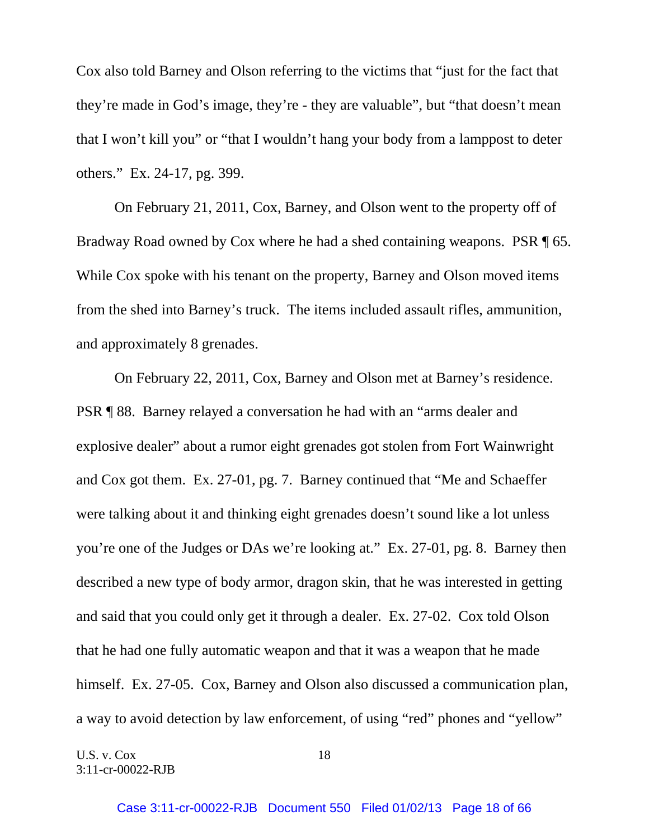Cox also told Barney and Olson referring to the victims that "just for the fact that they're made in God's image, they're - they are valuable", but "that doesn't mean that I won't kill you" or "that I wouldn't hang your body from a lamppost to deter others." Ex. 24-17, pg. 399.

 On February 21, 2011, Cox, Barney, and Olson went to the property off of Bradway Road owned by Cox where he had a shed containing weapons. PSR ¶ 65. While Cox spoke with his tenant on the property, Barney and Olson moved items from the shed into Barney's truck. The items included assault rifles, ammunition, and approximately 8 grenades.

 On February 22, 2011, Cox, Barney and Olson met at Barney's residence. PSR ¶ 88. Barney relayed a conversation he had with an "arms dealer and explosive dealer" about a rumor eight grenades got stolen from Fort Wainwright and Cox got them. Ex. 27-01, pg. 7. Barney continued that "Me and Schaeffer were talking about it and thinking eight grenades doesn't sound like a lot unless you're one of the Judges or DAs we're looking at." Ex. 27-01, pg. 8. Barney then described a new type of body armor, dragon skin, that he was interested in getting and said that you could only get it through a dealer. Ex. 27-02. Cox told Olson that he had one fully automatic weapon and that it was a weapon that he made himself. Ex. 27-05. Cox, Barney and Olson also discussed a communication plan, a way to avoid detection by law enforcement, of using "red" phones and "yellow"

U.S. v. Cox 18 3:11-cr-00022-RJB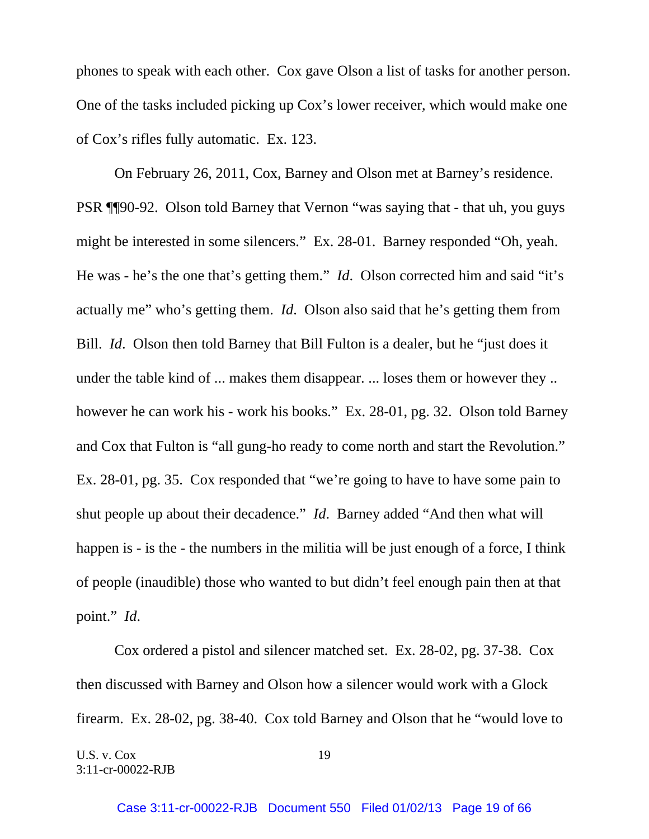phones to speak with each other. Cox gave Olson a list of tasks for another person. One of the tasks included picking up Cox's lower receiver, which would make one of Cox's rifles fully automatic. Ex. 123.

On February 26, 2011, Cox, Barney and Olson met at Barney's residence. PSR ¶¶90-92. Olson told Barney that Vernon "was saying that - that uh, you guys might be interested in some silencers." Ex. 28-01. Barney responded "Oh, yeah. He was - he's the one that's getting them." *Id*. Olson corrected him and said "it's actually me" who's getting them. *Id*. Olson also said that he's getting them from Bill. *Id*. Olson then told Barney that Bill Fulton is a dealer, but he "just does it under the table kind of ... makes them disappear. ... loses them or however they .. however he can work his - work his books." Ex. 28-01, pg. 32. Olson told Barney and Cox that Fulton is "all gung-ho ready to come north and start the Revolution." Ex. 28-01, pg. 35. Cox responded that "we're going to have to have some pain to shut people up about their decadence." *Id*. Barney added "And then what will happen is - is the - the numbers in the militia will be just enough of a force, I think of people (inaudible) those who wanted to but didn't feel enough pain then at that point." *Id*.

 Cox ordered a pistol and silencer matched set. Ex. 28-02, pg. 37-38. Cox then discussed with Barney and Olson how a silencer would work with a Glock firearm. Ex. 28-02, pg. 38-40. Cox told Barney and Olson that he "would love to

U.S. v. Cox 19 3:11-cr-00022-RJB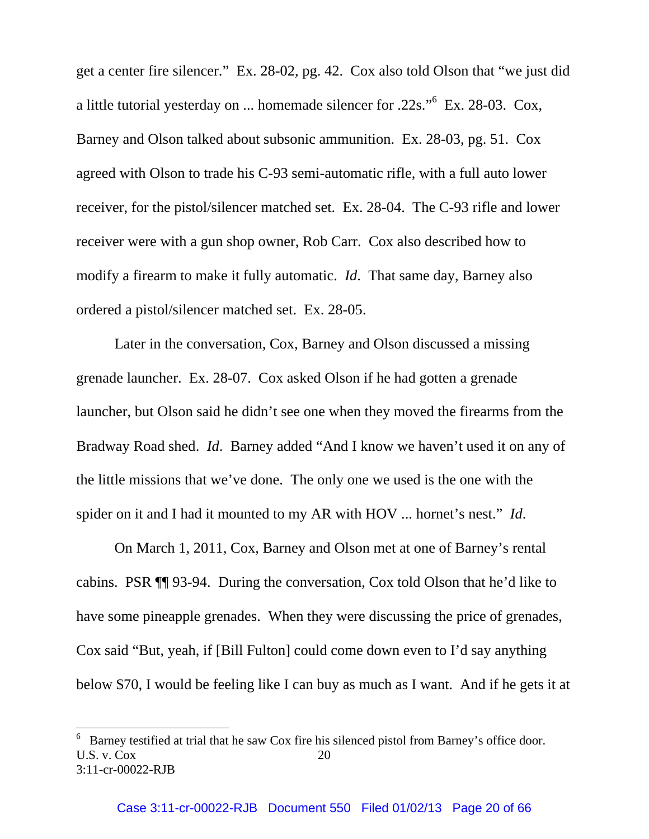get a center fire silencer." Ex. 28-02, pg. 42. Cox also told Olson that "we just did a little tutorial yesterday on ... homemade silencer for .22s."<sup>6</sup> Ex. 28-03. Cox, Barney and Olson talked about subsonic ammunition. Ex. 28-03, pg. 51. Cox agreed with Olson to trade his C-93 semi-automatic rifle, with a full auto lower receiver, for the pistol/silencer matched set. Ex. 28-04. The C-93 rifle and lower receiver were with a gun shop owner, Rob Carr. Cox also described how to modify a firearm to make it fully automatic. *Id*. That same day, Barney also ordered a pistol/silencer matched set. Ex. 28-05.

 Later in the conversation, Cox, Barney and Olson discussed a missing grenade launcher. Ex. 28-07. Cox asked Olson if he had gotten a grenade launcher, but Olson said he didn't see one when they moved the firearms from the Bradway Road shed. *Id*. Barney added "And I know we haven't used it on any of the little missions that we've done. The only one we used is the one with the spider on it and I had it mounted to my AR with HOV ... hornet's nest." *Id*.

 On March 1, 2011, Cox, Barney and Olson met at one of Barney's rental cabins. PSR ¶¶ 93-94. During the conversation, Cox told Olson that he'd like to have some pineapple grenades. When they were discussing the price of grenades, Cox said "But, yeah, if [Bill Fulton] could come down even to I'd say anything below \$70, I would be feeling like I can buy as much as I want. And if he gets it at

l

U.S. v.  $\cos$  20 3:11-cr-00022-RJB 6 Barney testified at trial that he saw Cox fire his silenced pistol from Barney's office door.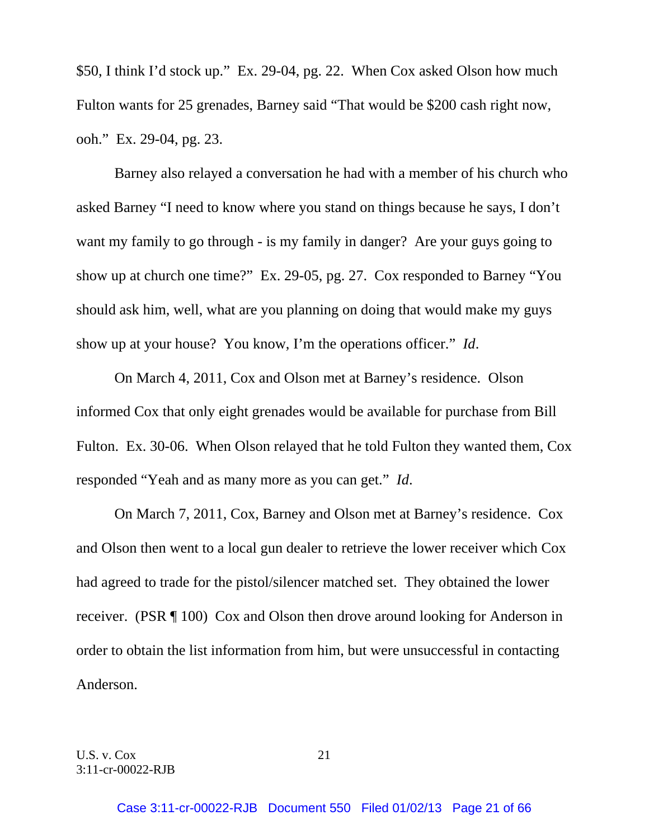\$50, I think I'd stock up." Ex. 29-04, pg. 22. When Cox asked Olson how much Fulton wants for 25 grenades, Barney said "That would be \$200 cash right now, ooh." Ex. 29-04, pg. 23.

 Barney also relayed a conversation he had with a member of his church who asked Barney "I need to know where you stand on things because he says, I don't want my family to go through - is my family in danger? Are your guys going to show up at church one time?" Ex. 29-05, pg. 27. Cox responded to Barney "You should ask him, well, what are you planning on doing that would make my guys show up at your house? You know, I'm the operations officer." *Id*.

 On March 4, 2011, Cox and Olson met at Barney's residence. Olson informed Cox that only eight grenades would be available for purchase from Bill Fulton. Ex. 30-06. When Olson relayed that he told Fulton they wanted them, Cox responded "Yeah and as many more as you can get." *Id*.

 On March 7, 2011, Cox, Barney and Olson met at Barney's residence. Cox and Olson then went to a local gun dealer to retrieve the lower receiver which Cox had agreed to trade for the pistol/silencer matched set. They obtained the lower receiver. (PSR ¶ 100) Cox and Olson then drove around looking for Anderson in order to obtain the list information from him, but were unsuccessful in contacting Anderson.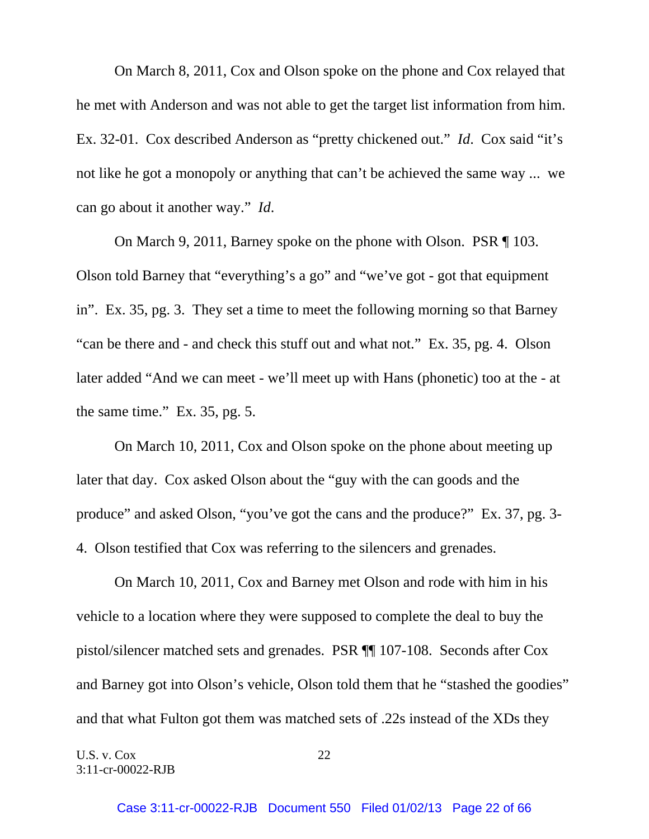On March 8, 2011, Cox and Olson spoke on the phone and Cox relayed that he met with Anderson and was not able to get the target list information from him. Ex. 32-01. Cox described Anderson as "pretty chickened out." *Id*. Cox said "it's not like he got a monopoly or anything that can't be achieved the same way ... we can go about it another way." *Id*.

 On March 9, 2011, Barney spoke on the phone with Olson. PSR ¶ 103. Olson told Barney that "everything's a go" and "we've got - got that equipment in". Ex. 35, pg. 3. They set a time to meet the following morning so that Barney "can be there and - and check this stuff out and what not." Ex. 35, pg. 4. Olson later added "And we can meet - we'll meet up with Hans (phonetic) too at the - at the same time." Ex. 35, pg. 5.

 On March 10, 2011, Cox and Olson spoke on the phone about meeting up later that day. Cox asked Olson about the "guy with the can goods and the produce" and asked Olson, "you've got the cans and the produce?" Ex. 37, pg. 3- 4. Olson testified that Cox was referring to the silencers and grenades.

 On March 10, 2011, Cox and Barney met Olson and rode with him in his vehicle to a location where they were supposed to complete the deal to buy the pistol/silencer matched sets and grenades. PSR ¶¶ 107-108. Seconds after Cox and Barney got into Olson's vehicle, Olson told them that he "stashed the goodies" and that what Fulton got them was matched sets of .22s instead of the XDs they

U.S. v. Cox 22 3:11-cr-00022-RJB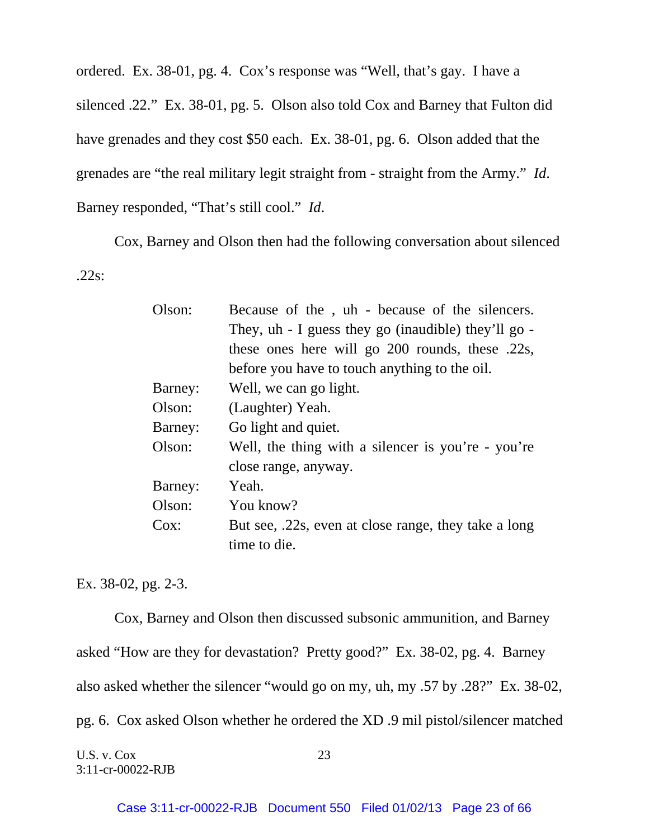ordered. Ex. 38-01, pg. 4. Cox's response was "Well, that's gay. I have a silenced .22." Ex. 38-01, pg. 5. Olson also told Cox and Barney that Fulton did have grenades and they cost \$50 each. Ex. 38-01, pg. 6. Olson added that the grenades are "the real military legit straight from - straight from the Army." *Id*. Barney responded, "That's still cool." *Id*.

 Cox, Barney and Olson then had the following conversation about silenced .22s:

| Olson:  | Because of the, uh - because of the silencers.       |
|---------|------------------------------------------------------|
|         | They, uh - I guess they go (inaudible) they'll go -  |
|         | these ones here will go 200 rounds, these .22s,      |
|         | before you have to touch anything to the oil.        |
| Barney: | Well, we can go light.                               |
| Olson:  | (Laughter) Yeah.                                     |
| Barney: | Go light and quiet.                                  |
| Olson:  | Well, the thing with a silencer is you're - you're   |
|         | close range, anyway.                                 |
| Barney: | Yeah.                                                |
| Olson:  | You know?                                            |
| Cox:    | But see, .22s, even at close range, they take a long |
|         | time to die.                                         |
|         |                                                      |

Ex. 38-02, pg. 2-3.

 Cox, Barney and Olson then discussed subsonic ammunition, and Barney asked "How are they for devastation? Pretty good?" Ex. 38-02, pg. 4. Barney also asked whether the silencer "would go on my, uh, my .57 by .28?" Ex. 38-02, pg. 6. Cox asked Olson whether he ordered the XD .9 mil pistol/silencer matched

U.S. v. Cox 23 3:11-cr-00022-RJB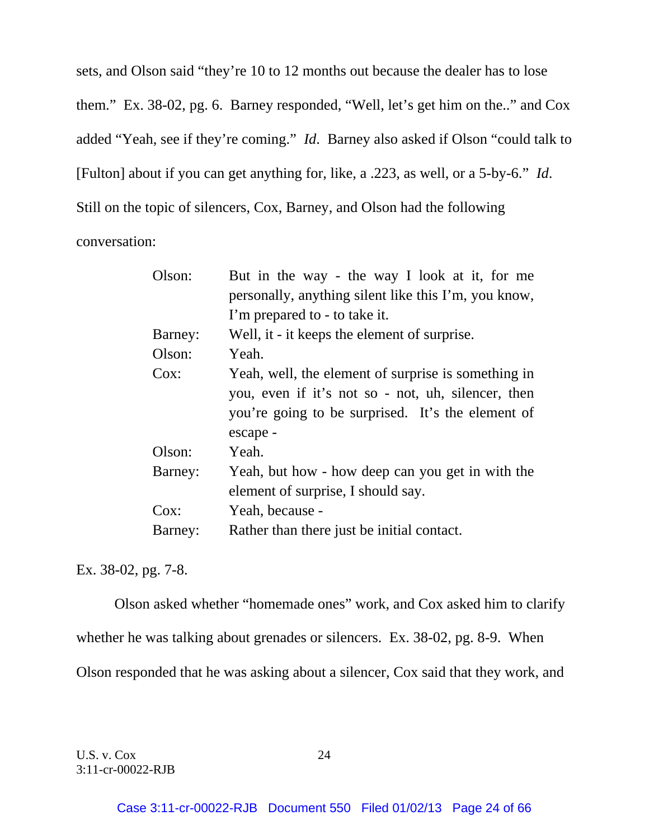sets, and Olson said "they're 10 to 12 months out because the dealer has to lose them." Ex. 38-02, pg. 6. Barney responded, "Well, let's get him on the.." and Cox added "Yeah, see if they're coming." *Id*. Barney also asked if Olson "could talk to [Fulton] about if you can get anything for, like, a .223, as well, or a 5-by-6." *Id*. Still on the topic of silencers, Cox, Barney, and Olson had the following conversation:

| Olson:  | But in the way - the way I look at it, for me        |
|---------|------------------------------------------------------|
|         | personally, anything silent like this I'm, you know, |
|         | I'm prepared to - to take it.                        |
| Barney: | Well, it - it keeps the element of surprise.         |
| Olson:  | Yeah.                                                |
| Cox:    | Yeah, well, the element of surprise is something in  |
|         | you, even if it's not so - not, uh, silencer, then   |
|         | you're going to be surprised. It's the element of    |
|         | escape -                                             |
| Olson:  | Yeah.                                                |
| Barney: | Yeah, but how - how deep can you get in with the     |
|         | element of surprise, I should say.                   |
| $Cox$ : | Yeah, because -                                      |
| Barney: | Rather than there just be initial contact.           |

Ex. 38-02, pg. 7-8.

 Olson asked whether "homemade ones" work, and Cox asked him to clarify whether he was talking about grenades or silencers. Ex. 38-02, pg. 8-9. When Olson responded that he was asking about a silencer, Cox said that they work, and

U.S. v. Cox 24 3:11-cr-00022-RJB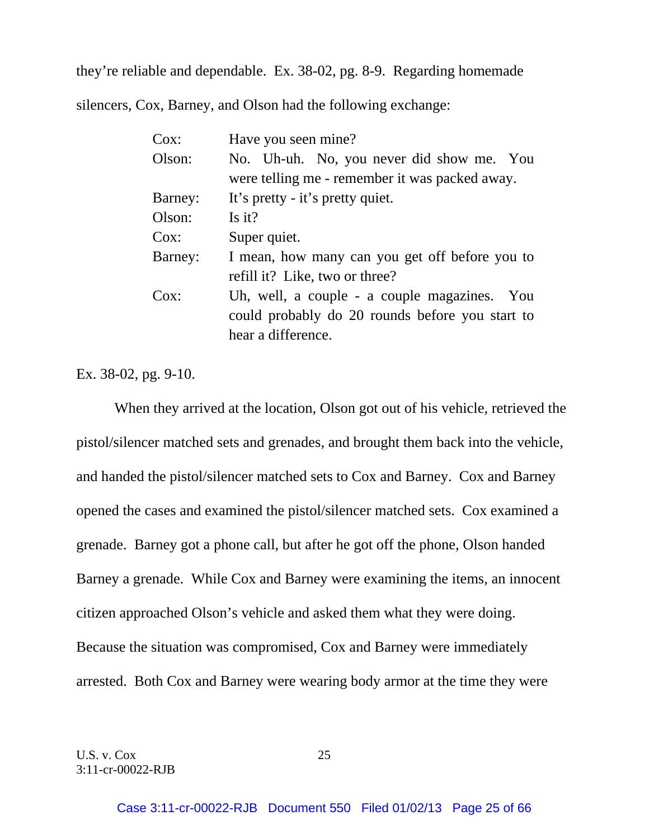they're reliable and dependable. Ex. 38-02, pg. 8-9. Regarding homemade silencers, Cox, Barney, and Olson had the following exchange:

| Cox:    | Have you seen mine?                                                                                                   |
|---------|-----------------------------------------------------------------------------------------------------------------------|
| Olson:  | No. Uh-uh. No, you never did show me. You<br>were telling me - remember it was packed away.                           |
| Barney: | It's pretty - it's pretty quiet.                                                                                      |
| Olson:  | Is it?                                                                                                                |
| Cox:    | Super quiet.                                                                                                          |
| Barney: | I mean, how many can you get off before you to<br>refill it? Like, two or three?                                      |
| Cox:    | Uh, well, a couple - a couple magazines. You<br>could probably do 20 rounds before you start to<br>hear a difference. |

Ex. 38-02, pg. 9-10.

 When they arrived at the location, Olson got out of his vehicle, retrieved the pistol/silencer matched sets and grenades, and brought them back into the vehicle, and handed the pistol/silencer matched sets to Cox and Barney. Cox and Barney opened the cases and examined the pistol/silencer matched sets. Cox examined a grenade. Barney got a phone call, but after he got off the phone, Olson handed Barney a grenade. While Cox and Barney were examining the items, an innocent citizen approached Olson's vehicle and asked them what they were doing. Because the situation was compromised, Cox and Barney were immediately arrested. Both Cox and Barney were wearing body armor at the time they were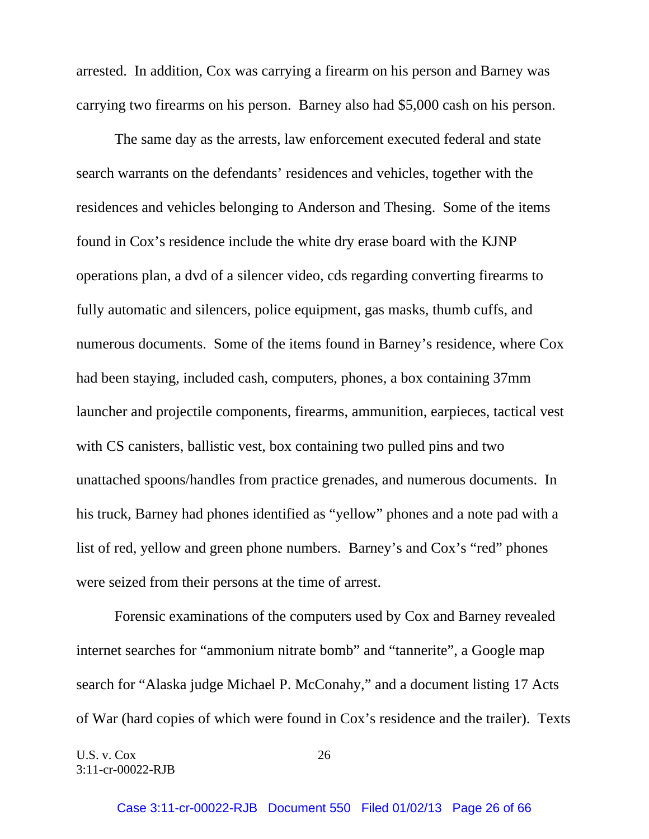arrested. In addition, Cox was carrying a firearm on his person and Barney was carrying two firearms on his person. Barney also had \$5,000 cash on his person.

 The same day as the arrests, law enforcement executed federal and state search warrants on the defendants' residences and vehicles, together with the residences and vehicles belonging to Anderson and Thesing. Some of the items found in Cox's residence include the white dry erase board with the KJNP operations plan, a dvd of a silencer video, cds regarding converting firearms to fully automatic and silencers, police equipment, gas masks, thumb cuffs, and numerous documents. Some of the items found in Barney's residence, where Cox had been staying, included cash, computers, phones, a box containing 37mm launcher and projectile components, firearms, ammunition, earpieces, tactical vest with CS canisters, ballistic vest, box containing two pulled pins and two unattached spoons/handles from practice grenades, and numerous documents. In his truck, Barney had phones identified as "yellow" phones and a note pad with a list of red, yellow and green phone numbers. Barney's and Cox's "red" phones were seized from their persons at the time of arrest.

 Forensic examinations of the computers used by Cox and Barney revealed internet searches for "ammonium nitrate bomb" and "tannerite", a Google map search for "Alaska judge Michael P. McConahy," and a document listing 17 Acts of War (hard copies of which were found in Cox's residence and the trailer). Texts

U.S. v. Cox 26 3:11-cr-00022-RJB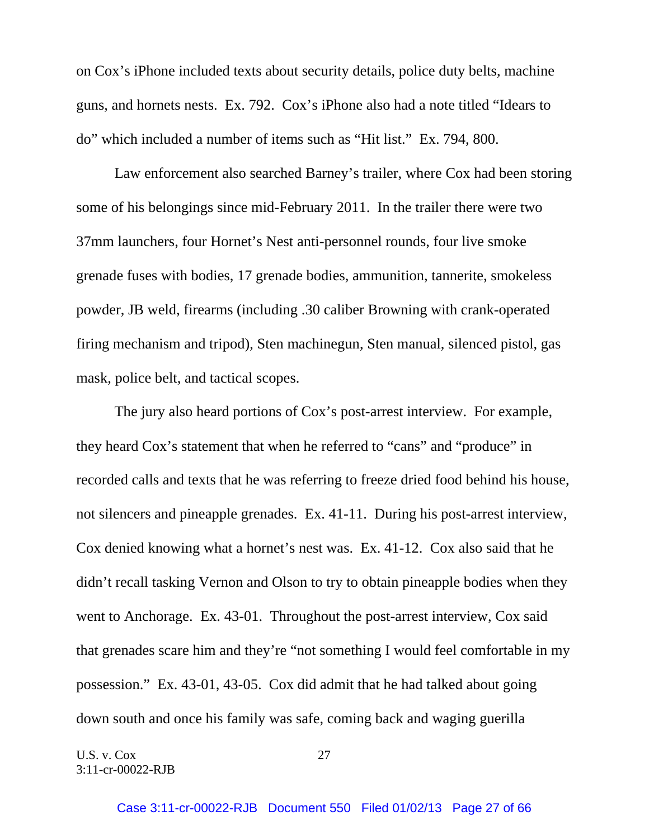on Cox's iPhone included texts about security details, police duty belts, machine guns, and hornets nests. Ex. 792. Cox's iPhone also had a note titled "Idears to do" which included a number of items such as "Hit list." Ex. 794, 800.

 Law enforcement also searched Barney's trailer, where Cox had been storing some of his belongings since mid-February 2011. In the trailer there were two 37mm launchers, four Hornet's Nest anti-personnel rounds, four live smoke grenade fuses with bodies, 17 grenade bodies, ammunition, tannerite, smokeless powder, JB weld, firearms (including .30 caliber Browning with crank-operated firing mechanism and tripod), Sten machinegun, Sten manual, silenced pistol, gas mask, police belt, and tactical scopes.

 The jury also heard portions of Cox's post-arrest interview. For example, they heard Cox's statement that when he referred to "cans" and "produce" in recorded calls and texts that he was referring to freeze dried food behind his house, not silencers and pineapple grenades. Ex. 41-11. During his post-arrest interview, Cox denied knowing what a hornet's nest was. Ex. 41-12. Cox also said that he didn't recall tasking Vernon and Olson to try to obtain pineapple bodies when they went to Anchorage. Ex. 43-01. Throughout the post-arrest interview, Cox said that grenades scare him and they're "not something I would feel comfortable in my possession." Ex. 43-01, 43-05. Cox did admit that he had talked about going down south and once his family was safe, coming back and waging guerilla

U.S. v.  $\cos$  27 3:11-cr-00022-RJB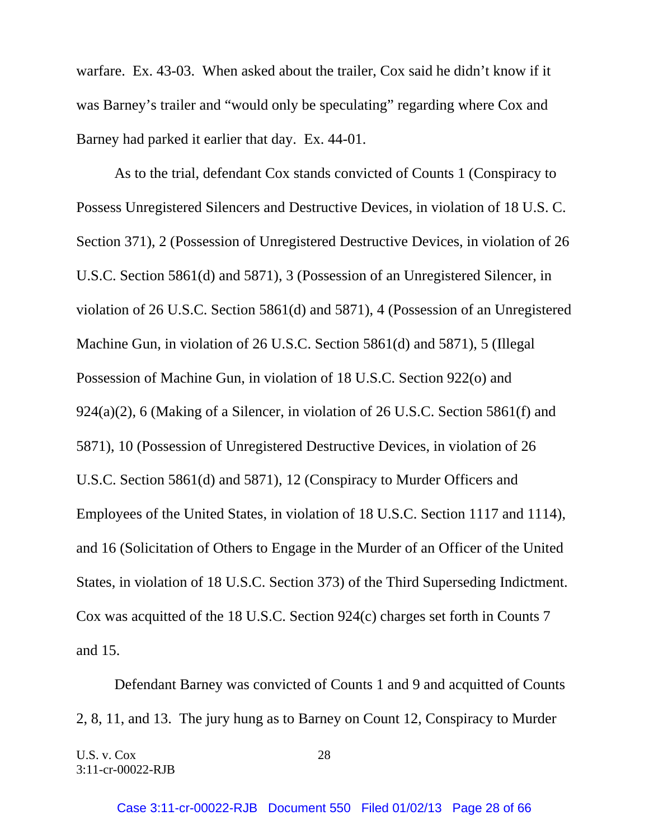warfare. Ex. 43-03. When asked about the trailer, Cox said he didn't know if it was Barney's trailer and "would only be speculating" regarding where Cox and Barney had parked it earlier that day. Ex. 44-01.

 As to the trial, defendant Cox stands convicted of Counts 1 (Conspiracy to Possess Unregistered Silencers and Destructive Devices, in violation of 18 U.S. C. Section 371), 2 (Possession of Unregistered Destructive Devices, in violation of 26 U.S.C. Section 5861(d) and 5871), 3 (Possession of an Unregistered Silencer, in violation of 26 U.S.C. Section 5861(d) and 5871), 4 (Possession of an Unregistered Machine Gun, in violation of 26 U.S.C. Section 5861(d) and 5871), 5 (Illegal Possession of Machine Gun, in violation of 18 U.S.C. Section 922(o) and 924(a)(2), 6 (Making of a Silencer, in violation of 26 U.S.C. Section 5861(f) and 5871), 10 (Possession of Unregistered Destructive Devices, in violation of 26 U.S.C. Section 5861(d) and 5871), 12 (Conspiracy to Murder Officers and Employees of the United States, in violation of 18 U.S.C. Section 1117 and 1114), and 16 (Solicitation of Others to Engage in the Murder of an Officer of the United States, in violation of 18 U.S.C. Section 373) of the Third Superseding Indictment. Cox was acquitted of the 18 U.S.C. Section 924(c) charges set forth in Counts 7 and 15.

Defendant Barney was convicted of Counts 1 and 9 and acquitted of Counts 2, 8, 11, and 13. The jury hung as to Barney on Count 12, Conspiracy to Murder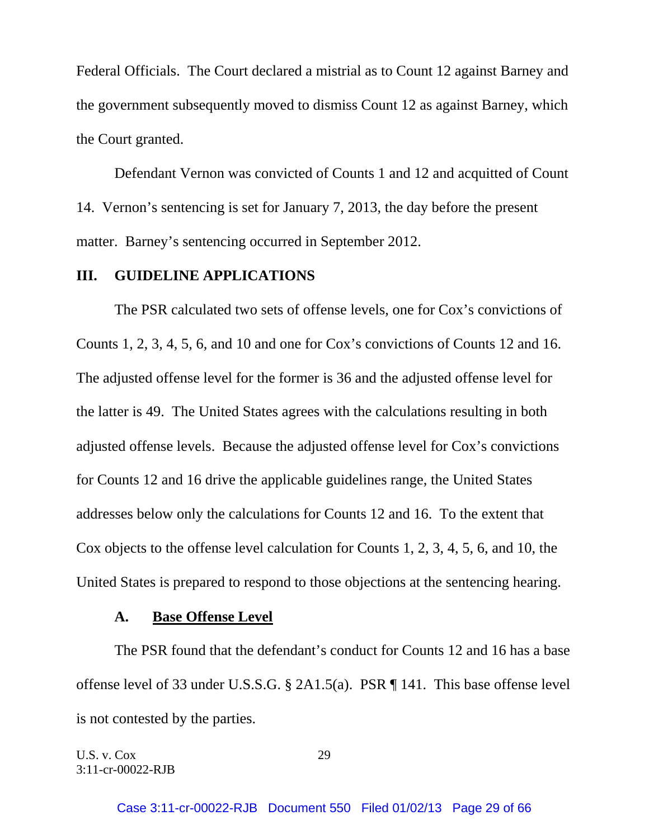Federal Officials. The Court declared a mistrial as to Count 12 against Barney and the government subsequently moved to dismiss Count 12 as against Barney, which the Court granted.

Defendant Vernon was convicted of Counts 1 and 12 and acquitted of Count 14. Vernon's sentencing is set for January 7, 2013, the day before the present matter. Barney's sentencing occurred in September 2012.

## **III. GUIDELINE APPLICATIONS**

The PSR calculated two sets of offense levels, one for Cox's convictions of Counts 1, 2, 3, 4, 5, 6, and 10 and one for Cox's convictions of Counts 12 and 16. The adjusted offense level for the former is 36 and the adjusted offense level for the latter is 49. The United States agrees with the calculations resulting in both adjusted offense levels. Because the adjusted offense level for Cox's convictions for Counts 12 and 16 drive the applicable guidelines range, the United States addresses below only the calculations for Counts 12 and 16. To the extent that Cox objects to the offense level calculation for Counts 1, 2, 3, 4, 5, 6, and 10, the United States is prepared to respond to those objections at the sentencing hearing.

#### **A. Base Offense Level**

 The PSR found that the defendant's conduct for Counts 12 and 16 has a base offense level of 33 under U.S.S.G. § 2A1.5(a). PSR ¶ 141. This base offense level is not contested by the parties.

U.S. v. Cox 29 3:11-cr-00022-RJB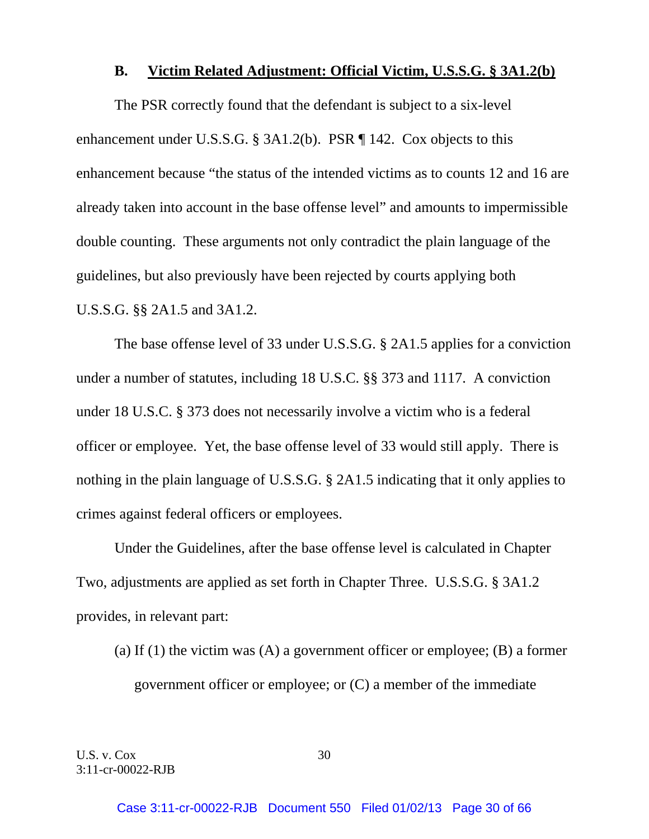## **B. Victim Related Adjustment: Official Victim, U.S.S.G. § 3A1.2(b)**

The PSR correctly found that the defendant is subject to a six-level enhancement under U.S.S.G. § 3A1.2(b). PSR ¶ 142. Cox objects to this enhancement because "the status of the intended victims as to counts 12 and 16 are already taken into account in the base offense level" and amounts to impermissible double counting. These arguments not only contradict the plain language of the guidelines, but also previously have been rejected by courts applying both U.S.S.G. §§ 2A1.5 and 3A1.2.

 The base offense level of 33 under U.S.S.G. § 2A1.5 applies for a conviction under a number of statutes, including 18 U.S.C. §§ 373 and 1117. A conviction under 18 U.S.C. § 373 does not necessarily involve a victim who is a federal officer or employee. Yet, the base offense level of 33 would still apply. There is nothing in the plain language of U.S.S.G. § 2A1.5 indicating that it only applies to crimes against federal officers or employees.

 Under the Guidelines, after the base offense level is calculated in Chapter Two, adjustments are applied as set forth in Chapter Three. U.S.S.G. § 3A1.2 provides, in relevant part:

(a) If (1) the victim was  $(A)$  a government officer or employee;  $(B)$  a former government officer or employee; or (C) a member of the immediate

U.S. v. Cox 30 3:11-cr-00022-RJB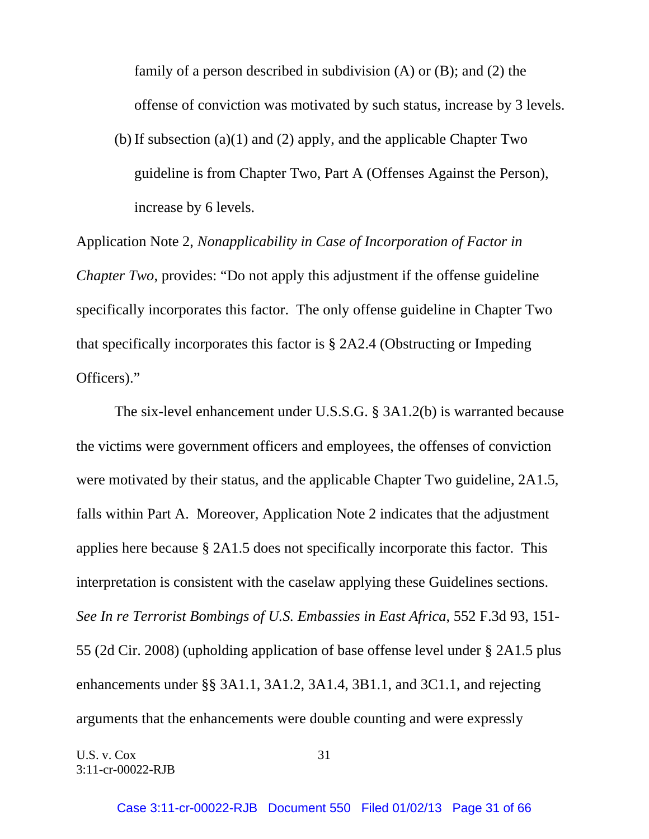family of a person described in subdivision  $(A)$  or  $(B)$ ; and  $(2)$  the offense of conviction was motivated by such status, increase by 3 levels.

(b) If subsection (a)(1) and (2) apply, and the applicable Chapter Two guideline is from Chapter Two, Part A (Offenses Against the Person), increase by 6 levels.

Application Note 2, *Nonapplicability in Case of Incorporation of Factor in Chapter Two*, provides: "Do not apply this adjustment if the offense guideline specifically incorporates this factor. The only offense guideline in Chapter Two that specifically incorporates this factor is § 2A2.4 (Obstructing or Impeding Officers)."

 The six-level enhancement under U.S.S.G. § 3A1.2(b) is warranted because the victims were government officers and employees, the offenses of conviction were motivated by their status, and the applicable Chapter Two guideline, 2A1.5, falls within Part A. Moreover, Application Note 2 indicates that the adjustment applies here because § 2A1.5 does not specifically incorporate this factor. This interpretation is consistent with the caselaw applying these Guidelines sections. *See In re Terrorist Bombings of U.S. Embassies in East Africa*, 552 F.3d 93, 151- 55 (2d Cir. 2008) (upholding application of base offense level under § 2A1.5 plus enhancements under §§ 3A1.1, 3A1.2, 3A1.4, 3B1.1, and 3C1.1, and rejecting arguments that the enhancements were double counting and were expressly

U.S. v. Cox 31 3:11-cr-00022-RJB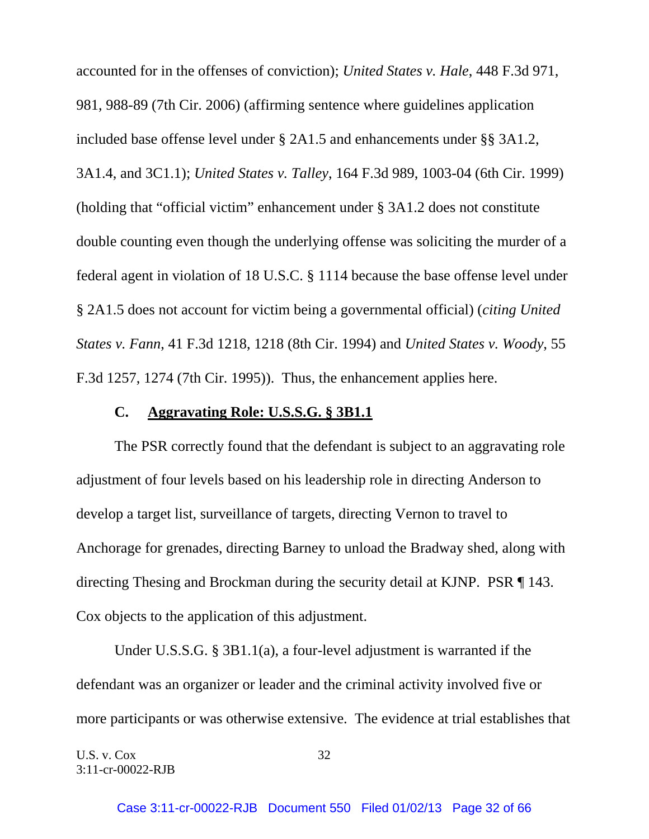accounted for in the offenses of conviction); *United States v. Hale*, 448 F.3d 971, 981, 988-89 (7th Cir. 2006) (affirming sentence where guidelines application included base offense level under § 2A1.5 and enhancements under §§ 3A1.2, 3A1.4, and 3C1.1); *United States v. Talley*, 164 F.3d 989, 1003-04 (6th Cir. 1999) (holding that "official victim" enhancement under § 3A1.2 does not constitute double counting even though the underlying offense was soliciting the murder of a federal agent in violation of 18 U.S.C. § 1114 because the base offense level under § 2A1.5 does not account for victim being a governmental official) (*citing United States v. Fann*, 41 F.3d 1218, 1218 (8th Cir. 1994) and *United States v. Woody*, 55 F.3d 1257, 1274 (7th Cir. 1995)). Thus, the enhancement applies here.

#### **C. Aggravating Role: U.S.S.G. § 3B1.1**

 The PSR correctly found that the defendant is subject to an aggravating role adjustment of four levels based on his leadership role in directing Anderson to develop a target list, surveillance of targets, directing Vernon to travel to Anchorage for grenades, directing Barney to unload the Bradway shed, along with directing Thesing and Brockman during the security detail at KJNP. PSR ¶ 143. Cox objects to the application of this adjustment.

 Under U.S.S.G. § 3B1.1(a), a four-level adjustment is warranted if the defendant was an organizer or leader and the criminal activity involved five or more participants or was otherwise extensive. The evidence at trial establishes that

U.S. v. Cox 32 3:11-cr-00022-RJB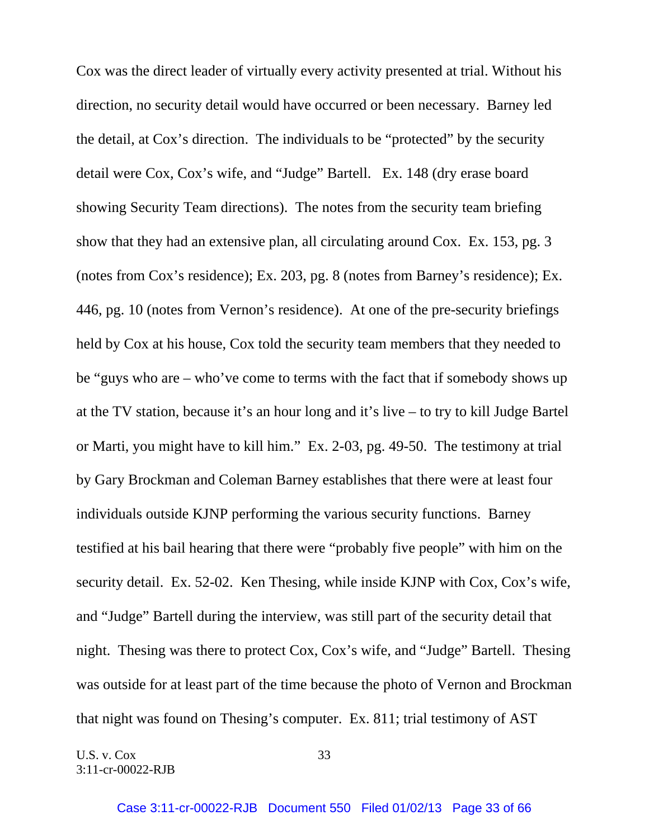Cox was the direct leader of virtually every activity presented at trial. Without his direction, no security detail would have occurred or been necessary. Barney led the detail, at Cox's direction. The individuals to be "protected" by the security detail were Cox, Cox's wife, and "Judge" Bartell. Ex. 148 (dry erase board showing Security Team directions). The notes from the security team briefing show that they had an extensive plan, all circulating around Cox. Ex. 153, pg. 3 (notes from Cox's residence); Ex. 203, pg. 8 (notes from Barney's residence); Ex. 446, pg. 10 (notes from Vernon's residence). At one of the pre-security briefings held by Cox at his house, Cox told the security team members that they needed to be "guys who are – who've come to terms with the fact that if somebody shows up at the TV station, because it's an hour long and it's live – to try to kill Judge Bartel or Marti, you might have to kill him." Ex. 2-03, pg. 49-50. The testimony at trial by Gary Brockman and Coleman Barney establishes that there were at least four individuals outside KJNP performing the various security functions. Barney testified at his bail hearing that there were "probably five people" with him on the security detail. Ex. 52-02. Ken Thesing, while inside KJNP with Cox, Cox's wife, and "Judge" Bartell during the interview, was still part of the security detail that night. Thesing was there to protect Cox, Cox's wife, and "Judge" Bartell. Thesing was outside for at least part of the time because the photo of Vernon and Brockman that night was found on Thesing's computer. Ex. 811; trial testimony of AST

U.S. v. Cox 33 3:11-cr-00022-RJB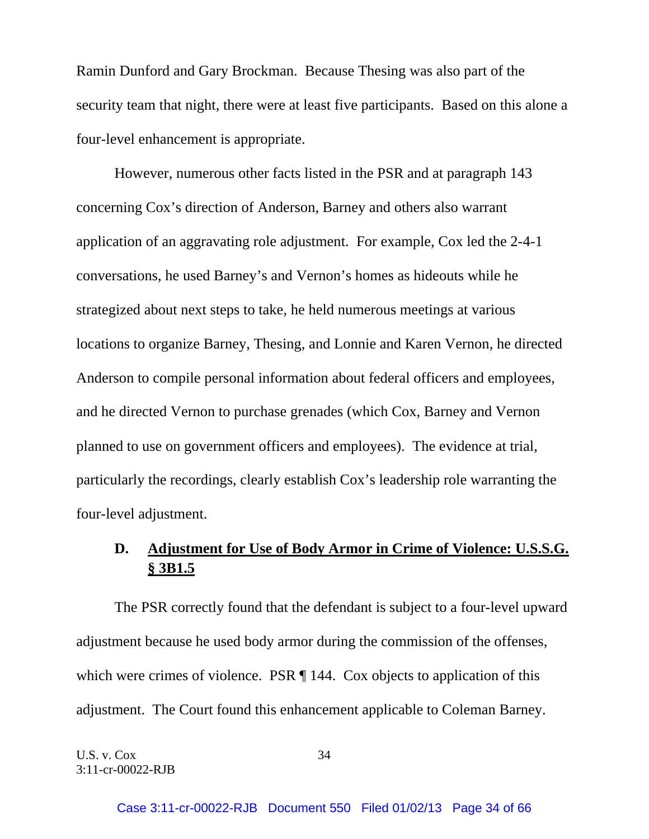Ramin Dunford and Gary Brockman. Because Thesing was also part of the security team that night, there were at least five participants. Based on this alone a four-level enhancement is appropriate.

 However, numerous other facts listed in the PSR and at paragraph 143 concerning Cox's direction of Anderson, Barney and others also warrant application of an aggravating role adjustment. For example, Cox led the 2-4-1 conversations, he used Barney's and Vernon's homes as hideouts while he strategized about next steps to take, he held numerous meetings at various locations to organize Barney, Thesing, and Lonnie and Karen Vernon, he directed Anderson to compile personal information about federal officers and employees, and he directed Vernon to purchase grenades (which Cox, Barney and Vernon planned to use on government officers and employees). The evidence at trial, particularly the recordings, clearly establish Cox's leadership role warranting the four-level adjustment.

# **D. Adjustment for Use of Body Armor in Crime of Violence: U.S.S.G. § 3B1.5**

 The PSR correctly found that the defendant is subject to a four-level upward adjustment because he used body armor during the commission of the offenses, which were crimes of violence. PSR  $\P$  144. Cox objects to application of this adjustment. The Court found this enhancement applicable to Coleman Barney.

U.S. v. Cox 34 3:11-cr-00022-RJB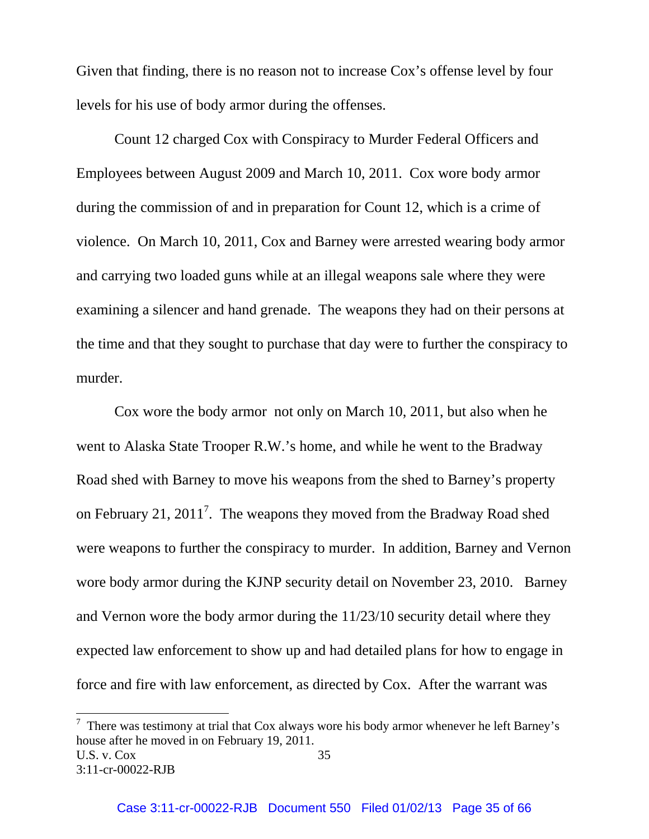Given that finding, there is no reason not to increase Cox's offense level by four levels for his use of body armor during the offenses.

 Count 12 charged Cox with Conspiracy to Murder Federal Officers and Employees between August 2009 and March 10, 2011. Cox wore body armor during the commission of and in preparation for Count 12, which is a crime of violence. On March 10, 2011, Cox and Barney were arrested wearing body armor and carrying two loaded guns while at an illegal weapons sale where they were examining a silencer and hand grenade. The weapons they had on their persons at the time and that they sought to purchase that day were to further the conspiracy to murder.

 Cox wore the body armor not only on March 10, 2011, but also when he went to Alaska State Trooper R.W.'s home, and while he went to the Bradway Road shed with Barney to move his weapons from the shed to Barney's property on February 21, 2011<sup>7</sup>. The weapons they moved from the Bradway Road shed were weapons to further the conspiracy to murder. In addition, Barney and Vernon wore body armor during the KJNP security detail on November 23, 2010. Barney and Vernon wore the body armor during the 11/23/10 security detail where they expected law enforcement to show up and had detailed plans for how to engage in force and fire with law enforcement, as directed by Cox. After the warrant was

l

U.S. v.  $Cox$  35 3:11-cr-00022-RJB  $7$  There was testimony at trial that Cox always wore his body armor whenever he left Barney's house after he moved in on February 19, 2011.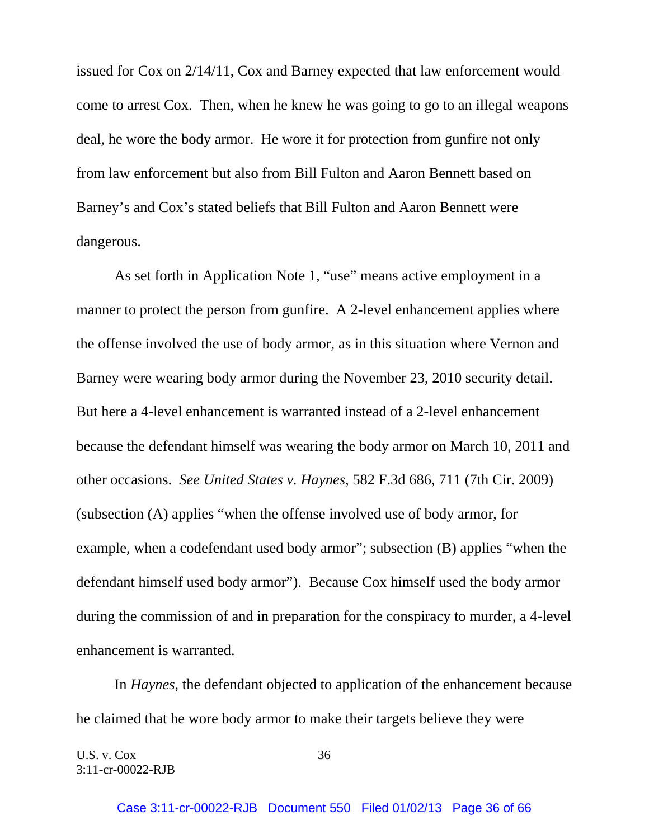issued for Cox on 2/14/11, Cox and Barney expected that law enforcement would come to arrest Cox. Then, when he knew he was going to go to an illegal weapons deal, he wore the body armor. He wore it for protection from gunfire not only from law enforcement but also from Bill Fulton and Aaron Bennett based on Barney's and Cox's stated beliefs that Bill Fulton and Aaron Bennett were dangerous.

 As set forth in Application Note 1, "use" means active employment in a manner to protect the person from gunfire. A 2-level enhancement applies where the offense involved the use of body armor, as in this situation where Vernon and Barney were wearing body armor during the November 23, 2010 security detail. But here a 4-level enhancement is warranted instead of a 2-level enhancement because the defendant himself was wearing the body armor on March 10, 2011 and other occasions. *See United States v. Haynes*, 582 F.3d 686, 711 (7th Cir. 2009) (subsection (A) applies "when the offense involved use of body armor, for example, when a codefendant used body armor"; subsection (B) applies "when the defendant himself used body armor"). Because Cox himself used the body armor during the commission of and in preparation for the conspiracy to murder, a 4-level enhancement is warranted.

 In *Haynes*, the defendant objected to application of the enhancement because he claimed that he wore body armor to make their targets believe they were

U.S. v.  $\cos \theta$  36 3:11-cr-00022-RJB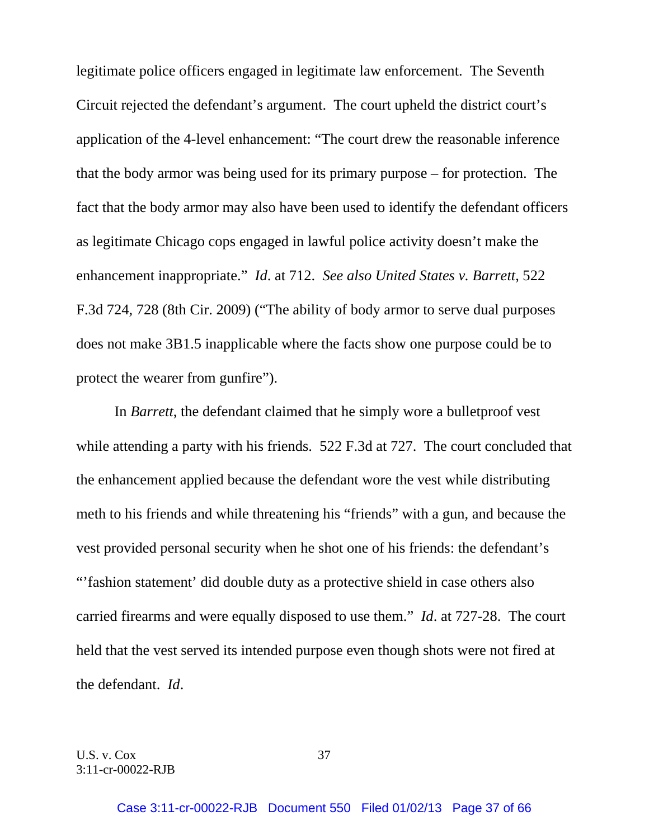legitimate police officers engaged in legitimate law enforcement. The Seventh Circuit rejected the defendant's argument. The court upheld the district court's application of the 4-level enhancement: "The court drew the reasonable inference that the body armor was being used for its primary purpose – for protection. The fact that the body armor may also have been used to identify the defendant officers as legitimate Chicago cops engaged in lawful police activity doesn't make the enhancement inappropriate." *Id*. at 712. *See also United States v. Barrett*, 522 F.3d 724, 728 (8th Cir. 2009) ("The ability of body armor to serve dual purposes does not make 3B1.5 inapplicable where the facts show one purpose could be to protect the wearer from gunfire").

 In *Barrett*, the defendant claimed that he simply wore a bulletproof vest while attending a party with his friends. 522 F.3d at 727. The court concluded that the enhancement applied because the defendant wore the vest while distributing meth to his friends and while threatening his "friends" with a gun, and because the vest provided personal security when he shot one of his friends: the defendant's "'fashion statement' did double duty as a protective shield in case others also carried firearms and were equally disposed to use them." *Id*. at 727-28. The court held that the vest served its intended purpose even though shots were not fired at the defendant. *Id*.

U.S. v. Cox 37 3:11-cr-00022-RJB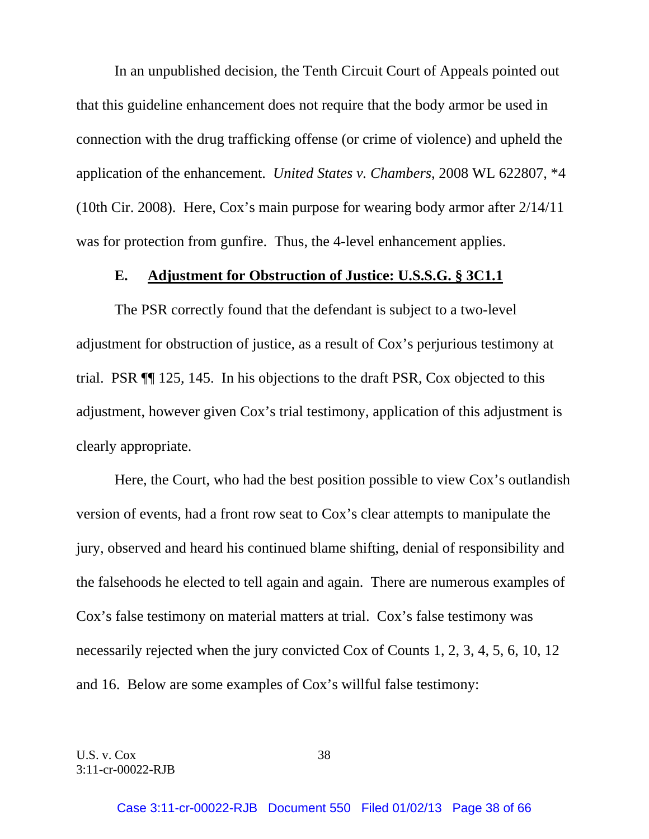In an unpublished decision, the Tenth Circuit Court of Appeals pointed out that this guideline enhancement does not require that the body armor be used in connection with the drug trafficking offense (or crime of violence) and upheld the application of the enhancement. *United States v. Chambers*, 2008 WL 622807, \*4 (10th Cir. 2008). Here, Cox's main purpose for wearing body armor after 2/14/11 was for protection from gunfire. Thus, the 4-level enhancement applies.

## **E. Adjustment for Obstruction of Justice: U.S.S.G. § 3C1.1**

 The PSR correctly found that the defendant is subject to a two-level adjustment for obstruction of justice, as a result of Cox's perjurious testimony at trial. PSR ¶¶ 125, 145. In his objections to the draft PSR, Cox objected to this adjustment, however given Cox's trial testimony, application of this adjustment is clearly appropriate.

 Here, the Court, who had the best position possible to view Cox's outlandish version of events, had a front row seat to Cox's clear attempts to manipulate the jury, observed and heard his continued blame shifting, denial of responsibility and the falsehoods he elected to tell again and again. There are numerous examples of Cox's false testimony on material matters at trial. Cox's false testimony was necessarily rejected when the jury convicted Cox of Counts 1, 2, 3, 4, 5, 6, 10, 12 and 16. Below are some examples of Cox's willful false testimony: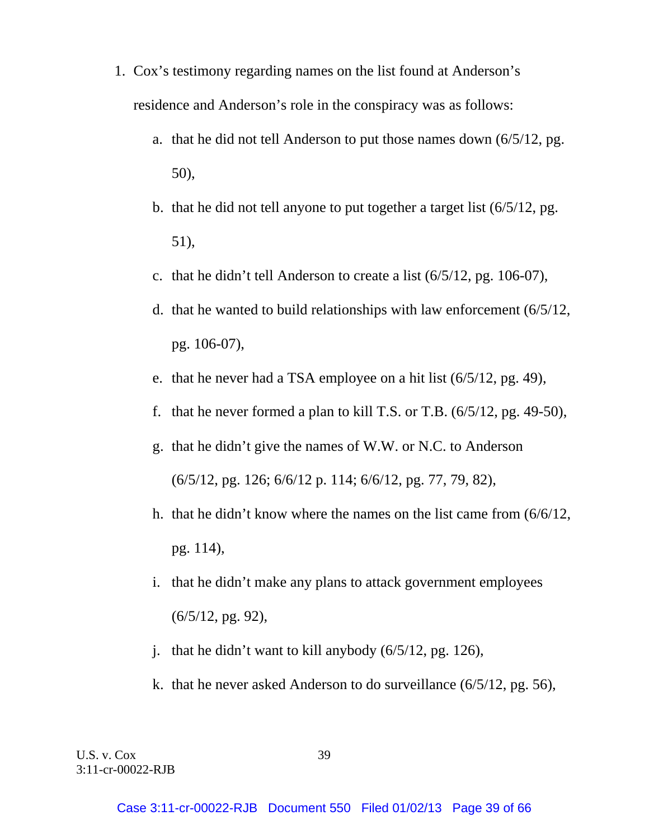- 1. Cox's testimony regarding names on the list found at Anderson's residence and Anderson's role in the conspiracy was as follows:
	- a. that he did not tell Anderson to put those names down (6/5/12, pg. 50),
	- b. that he did not tell anyone to put together a target list (6/5/12, pg. 51),
	- c. that he didn't tell Anderson to create a list (6/5/12, pg. 106-07),
	- d. that he wanted to build relationships with law enforcement (6/5/12, pg. 106-07),
	- e. that he never had a TSA employee on a hit list (6/5/12, pg. 49),
	- f. that he never formed a plan to kill T.S. or T.B. (6/5/12, pg. 49-50),
	- g. that he didn't give the names of W.W. or N.C. to Anderson (6/5/12, pg. 126; 6/6/12 p. 114; 6/6/12, pg. 77, 79, 82),
	- h. that he didn't know where the names on the list came from (6/6/12, pg. 114),
	- i. that he didn't make any plans to attack government employees (6/5/12, pg. 92),
	- j. that he didn't want to kill anybody (6/5/12, pg. 126),
	- k. that he never asked Anderson to do surveillance (6/5/12, pg. 56),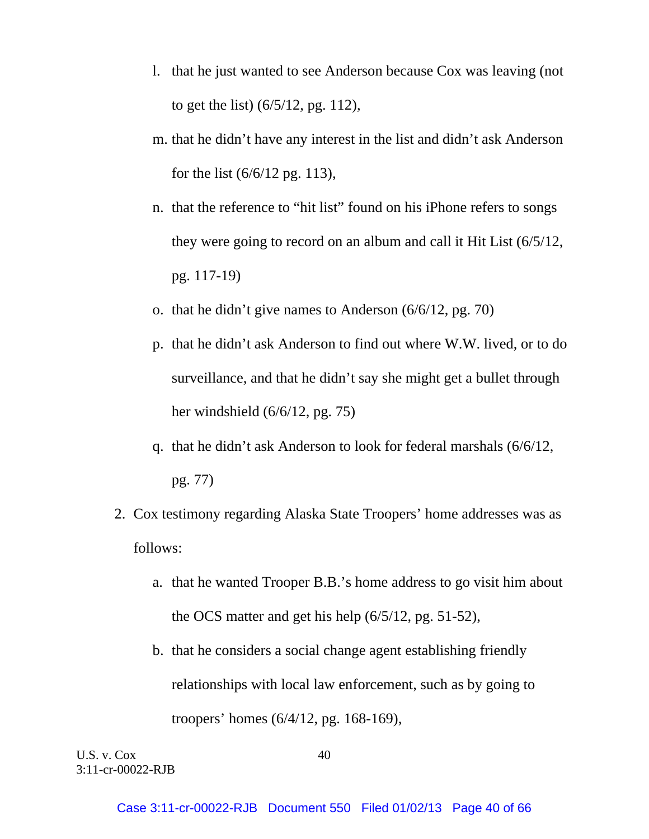- l. that he just wanted to see Anderson because Cox was leaving (not to get the list) (6/5/12, pg. 112),
- m. that he didn't have any interest in the list and didn't ask Anderson for the list (6/6/12 pg. 113),
- n. that the reference to "hit list" found on his iPhone refers to songs they were going to record on an album and call it Hit List (6/5/12, pg. 117-19)
- o. that he didn't give names to Anderson (6/6/12, pg. 70)
- p. that he didn't ask Anderson to find out where W.W. lived, or to do surveillance, and that he didn't say she might get a bullet through her windshield (6/6/12, pg. 75)
- q. that he didn't ask Anderson to look for federal marshals (6/6/12, pg. 77)
- 2. Cox testimony regarding Alaska State Troopers' home addresses was as follows:
	- a. that he wanted Trooper B.B.'s home address to go visit him about the OCS matter and get his help (6/5/12, pg. 51-52),
	- b. that he considers a social change agent establishing friendly relationships with local law enforcement, such as by going to troopers' homes (6/4/12, pg. 168-169),

U.S. v. Cox 40 3:11-cr-00022-RJB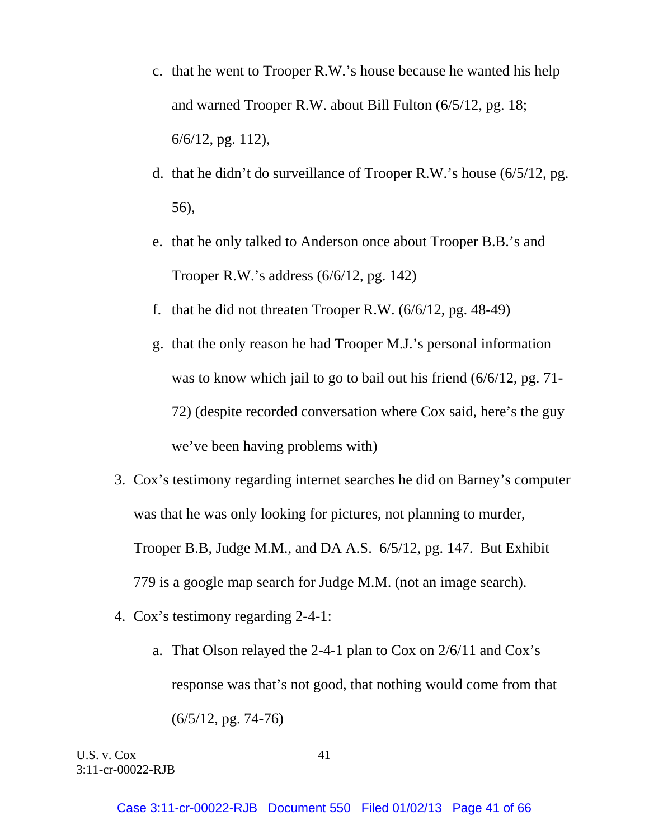- c. that he went to Trooper R.W.'s house because he wanted his help and warned Trooper R.W. about Bill Fulton (6/5/12, pg. 18; 6/6/12, pg. 112),
- d. that he didn't do surveillance of Trooper R.W.'s house (6/5/12, pg. 56),
- e. that he only talked to Anderson once about Trooper B.B.'s and Trooper R.W.'s address (6/6/12, pg. 142)
- f. that he did not threaten Trooper R.W.  $(6/6/12, \text{pg. } 48-49)$
- g. that the only reason he had Trooper M.J.'s personal information was to know which jail to go to bail out his friend (6/6/12, pg. 71- 72) (despite recorded conversation where Cox said, here's the guy we've been having problems with)
- 3. Cox's testimony regarding internet searches he did on Barney's computer was that he was only looking for pictures, not planning to murder, Trooper B.B, Judge M.M., and DA A.S. 6/5/12, pg. 147. But Exhibit 779 is a google map search for Judge M.M. (not an image search).
- 4. Cox's testimony regarding 2-4-1:
	- a. That Olson relayed the 2-4-1 plan to Cox on 2/6/11 and Cox's response was that's not good, that nothing would come from that  $(6/5/12, \text{pg. } 74-76)$

U.S. v. Cox 41 3:11-cr-00022-RJB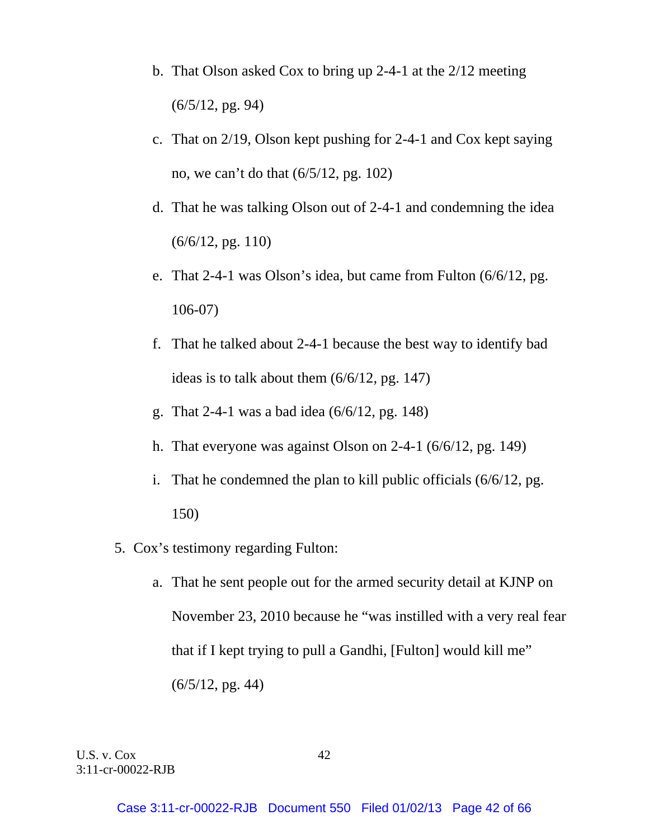- b. That Olson asked Cox to bring up 2-4-1 at the 2/12 meeting  $(6/5/12, \text{pg. } 94)$
- c. That on 2/19, Olson kept pushing for 2-4-1 and Cox kept saying no, we can't do that (6/5/12, pg. 102)
- d. That he was talking Olson out of 2-4-1 and condemning the idea  $(6/6/12, \text{pg. } 110)$
- e. That 2-4-1 was Olson's idea, but came from Fulton (6/6/12, pg. 106-07)
- f. That he talked about 2-4-1 because the best way to identify bad ideas is to talk about them (6/6/12, pg. 147)
- g. That 2-4-1 was a bad idea (6/6/12, pg. 148)
- h. That everyone was against Olson on 2-4-1 (6/6/12, pg. 149)
- i. That he condemned the plan to kill public officials (6/6/12, pg. 150)
- 5. Cox's testimony regarding Fulton:
	- a. That he sent people out for the armed security detail at KJNP on November 23, 2010 because he "was instilled with a very real fear that if I kept trying to pull a Gandhi, [Fulton] would kill me"  $(6/5/12, \text{pg. } 44)$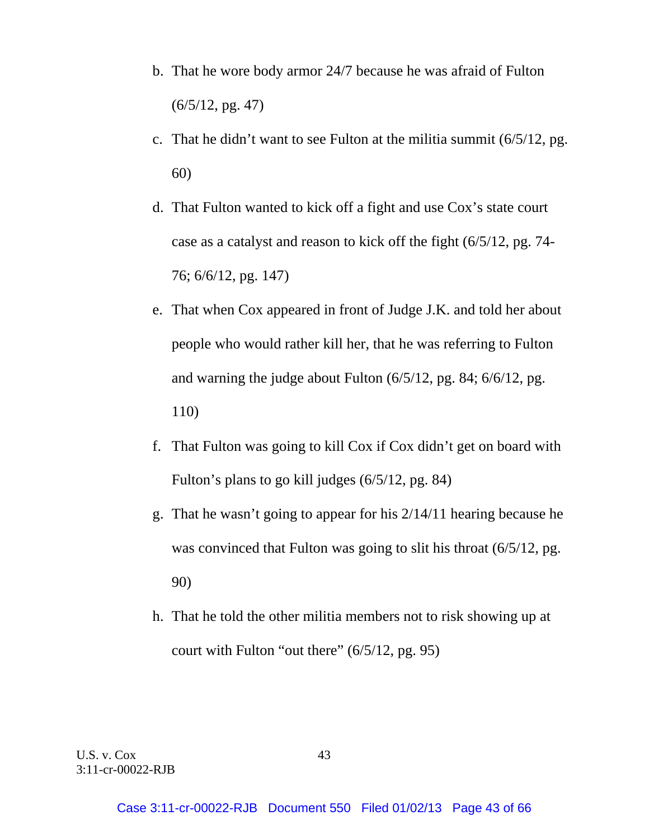- b. That he wore body armor 24/7 because he was afraid of Fulton  $(6/5/12, \text{pg. } 47)$
- c. That he didn't want to see Fulton at the militia summit (6/5/12, pg. 60)
- d. That Fulton wanted to kick off a fight and use Cox's state court case as a catalyst and reason to kick off the fight (6/5/12, pg. 74- 76; 6/6/12, pg. 147)
- e. That when Cox appeared in front of Judge J.K. and told her about people who would rather kill her, that he was referring to Fulton and warning the judge about Fulton (6/5/12, pg. 84; 6/6/12, pg. 110)
- f. That Fulton was going to kill Cox if Cox didn't get on board with Fulton's plans to go kill judges (6/5/12, pg. 84)
- g. That he wasn't going to appear for his 2/14/11 hearing because he was convinced that Fulton was going to slit his throat  $(6/5/12, \text{pg.})$ 90)
- h. That he told the other militia members not to risk showing up at court with Fulton "out there" (6/5/12, pg. 95)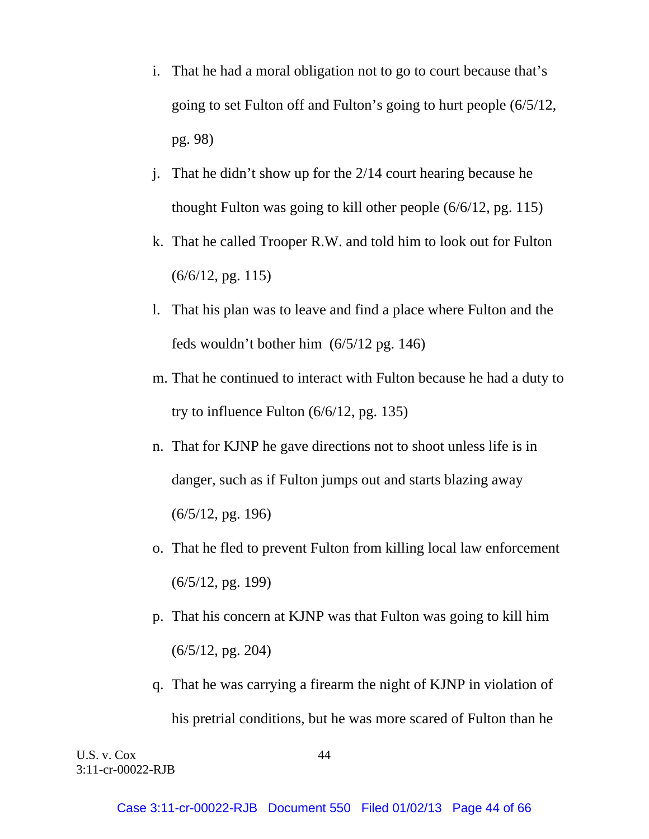- i. That he had a moral obligation not to go to court because that's going to set Fulton off and Fulton's going to hurt people (6/5/12, pg. 98)
- j. That he didn't show up for the 2/14 court hearing because he thought Fulton was going to kill other people (6/6/12, pg. 115)
- k. That he called Trooper R.W. and told him to look out for Fulton  $(6/6/12, \text{pg. } 115)$
- l. That his plan was to leave and find a place where Fulton and the feds wouldn't bother him (6/5/12 pg. 146)
- m. That he continued to interact with Fulton because he had a duty to try to influence Fulton (6/6/12, pg. 135)
- n. That for KJNP he gave directions not to shoot unless life is in danger, such as if Fulton jumps out and starts blazing away (6/5/12, pg. 196)
- o. That he fled to prevent Fulton from killing local law enforcement (6/5/12, pg. 199)
- p. That his concern at KJNP was that Fulton was going to kill him  $(6/5/12, \text{pg. } 204)$
- q. That he was carrying a firearm the night of KJNP in violation of his pretrial conditions, but he was more scared of Fulton than he

U.S. v. Cox 44 3:11-cr-00022-RJB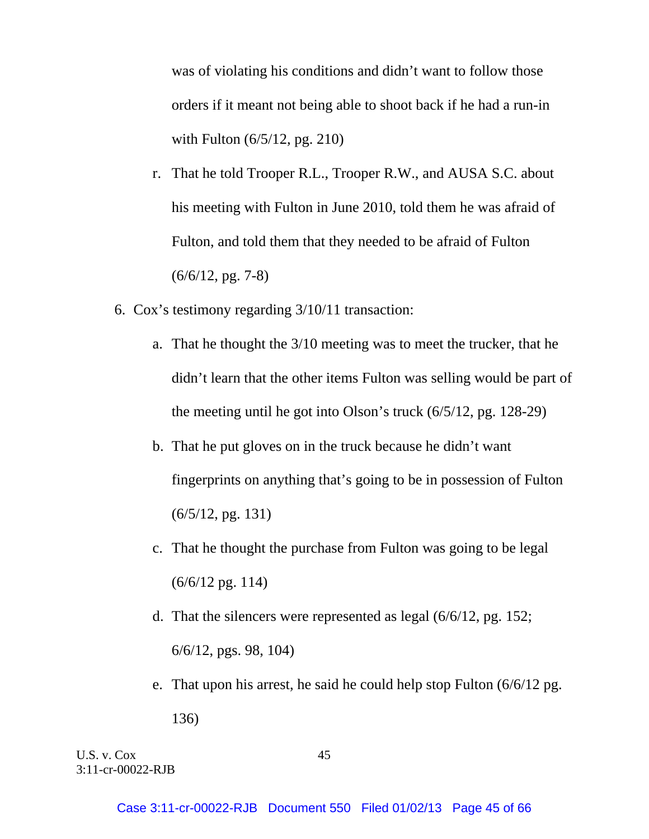was of violating his conditions and didn't want to follow those orders if it meant not being able to shoot back if he had a run-in with Fulton (6/5/12, pg. 210)

- r. That he told Trooper R.L., Trooper R.W., and AUSA S.C. about his meeting with Fulton in June 2010, told them he was afraid of Fulton, and told them that they needed to be afraid of Fulton  $(6/6/12, \text{pg. } 7-8)$
- 6. Cox's testimony regarding 3/10/11 transaction:
	- a. That he thought the 3/10 meeting was to meet the trucker, that he didn't learn that the other items Fulton was selling would be part of the meeting until he got into Olson's truck (6/5/12, pg. 128-29)
	- b. That he put gloves on in the truck because he didn't want fingerprints on anything that's going to be in possession of Fulton  $(6/5/12, \text{pg. } 131)$
	- c. That he thought the purchase from Fulton was going to be legal (6/6/12 pg. 114)
	- d. That the silencers were represented as legal (6/6/12, pg. 152; 6/6/12, pgs. 98, 104)
	- e. That upon his arrest, he said he could help stop Fulton (6/6/12 pg. 136)

U.S. v. Cox 45 3:11-cr-00022-RJB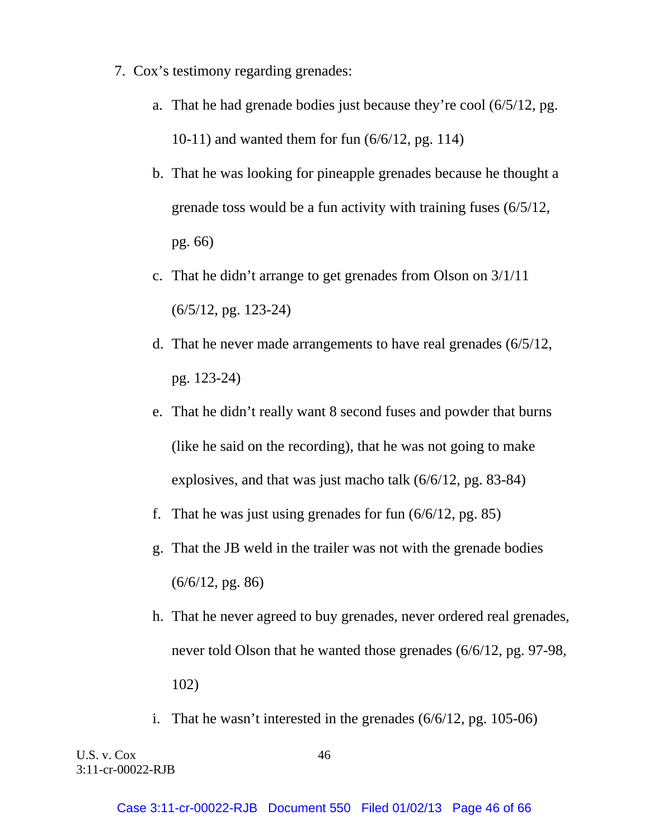- 7. Cox's testimony regarding grenades:
	- a. That he had grenade bodies just because they're cool (6/5/12, pg. 10-11) and wanted them for fun (6/6/12, pg. 114)
	- b. That he was looking for pineapple grenades because he thought a grenade toss would be a fun activity with training fuses (6/5/12, pg. 66)
	- c. That he didn't arrange to get grenades from Olson on 3/1/11 (6/5/12, pg. 123-24)
	- d. That he never made arrangements to have real grenades (6/5/12, pg. 123-24)
	- e. That he didn't really want 8 second fuses and powder that burns (like he said on the recording), that he was not going to make explosives, and that was just macho talk (6/6/12, pg. 83-84)
	- f. That he was just using grenades for fun (6/6/12, pg. 85)
	- g. That the JB weld in the trailer was not with the grenade bodies  $(6/6/12, \text{pg. } 86)$
	- h. That he never agreed to buy grenades, never ordered real grenades, never told Olson that he wanted those grenades (6/6/12, pg. 97-98, 102)
	- i. That he wasn't interested in the grenades (6/6/12, pg. 105-06)

U.S. v. Cox 46 3:11-cr-00022-RJB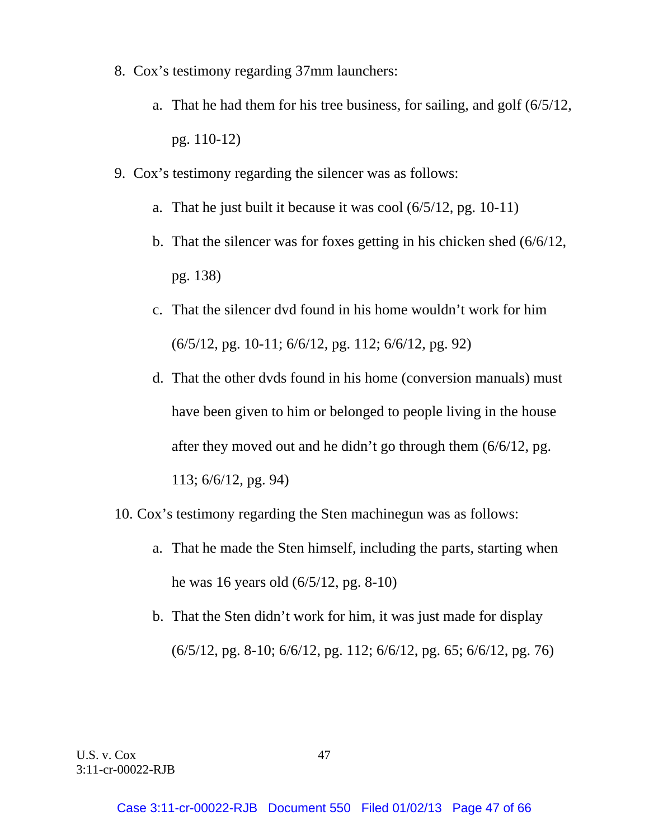- 8. Cox's testimony regarding 37mm launchers:
	- a. That he had them for his tree business, for sailing, and golf (6/5/12, pg. 110-12)
- 9. Cox's testimony regarding the silencer was as follows:
	- a. That he just built it because it was cool (6/5/12, pg. 10-11)
	- b. That the silencer was for foxes getting in his chicken shed (6/6/12, pg. 138)
	- c. That the silencer dvd found in his home wouldn't work for him (6/5/12, pg. 10-11; 6/6/12, pg. 112; 6/6/12, pg. 92)
	- d. That the other dvds found in his home (conversion manuals) must have been given to him or belonged to people living in the house after they moved out and he didn't go through them (6/6/12, pg. 113; 6/6/12, pg. 94)
- 10. Cox's testimony regarding the Sten machinegun was as follows:
	- a. That he made the Sten himself, including the parts, starting when he was 16 years old (6/5/12, pg. 8-10)
	- b. That the Sten didn't work for him, it was just made for display (6/5/12, pg. 8-10; 6/6/12, pg. 112; 6/6/12, pg. 65; 6/6/12, pg. 76)

U.S. v. Cox 47 3:11-cr-00022-RJB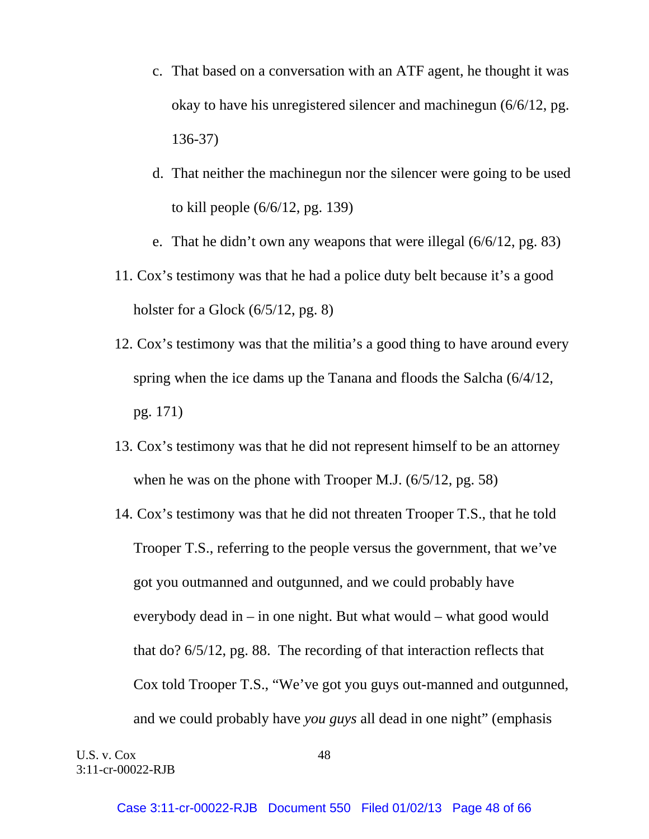- c. That based on a conversation with an ATF agent, he thought it was okay to have his unregistered silencer and machinegun (6/6/12, pg. 136-37)
- d. That neither the machinegun nor the silencer were going to be used to kill people (6/6/12, pg. 139)
- e. That he didn't own any weapons that were illegal (6/6/12, pg. 83)
- 11. Cox's testimony was that he had a police duty belt because it's a good holster for a Glock (6/5/12, pg. 8)
- 12. Cox's testimony was that the militia's a good thing to have around every spring when the ice dams up the Tanana and floods the Salcha (6/4/12, pg. 171)
- 13. Cox's testimony was that he did not represent himself to be an attorney when he was on the phone with Trooper M.J. (6/5/12, pg. 58)
- 14. Cox's testimony was that he did not threaten Trooper T.S., that he told Trooper T.S., referring to the people versus the government, that we've got you outmanned and outgunned, and we could probably have everybody dead in – in one night. But what would – what good would that do? 6/5/12, pg. 88. The recording of that interaction reflects that Cox told Trooper T.S., "We've got you guys out-manned and outgunned, and we could probably have *you guys* all dead in one night" (emphasis

U.S. v. Cox 48 3:11-cr-00022-RJB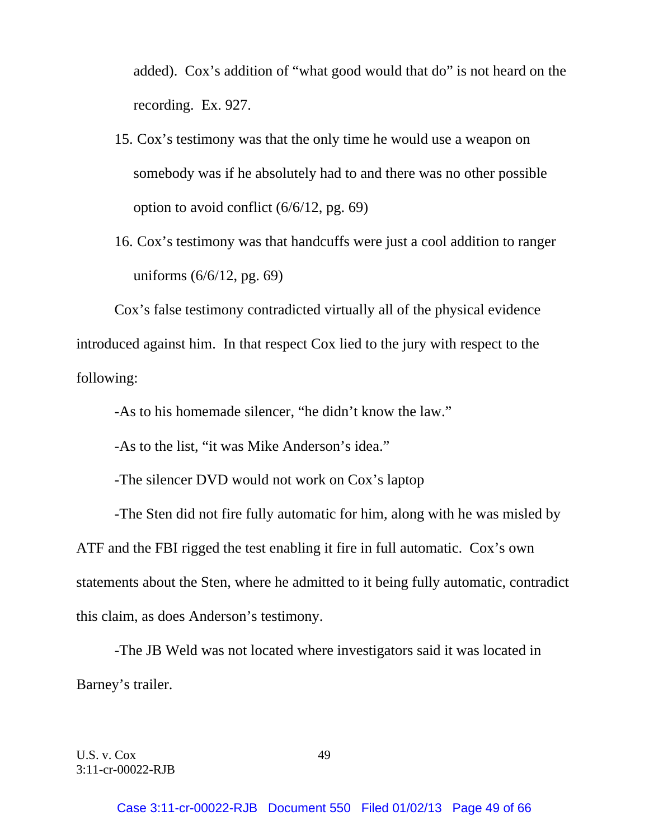added). Cox's addition of "what good would that do" is not heard on the recording. Ex. 927.

- 15. Cox's testimony was that the only time he would use a weapon on somebody was if he absolutely had to and there was no other possible option to avoid conflict (6/6/12, pg. 69)
- 16. Cox's testimony was that handcuffs were just a cool addition to ranger uniforms (6/6/12, pg. 69)

 Cox's false testimony contradicted virtually all of the physical evidence introduced against him. In that respect Cox lied to the jury with respect to the following:

-As to his homemade silencer, "he didn't know the law."

-As to the list, "it was Mike Anderson's idea."

-The silencer DVD would not work on Cox's laptop

 -The Sten did not fire fully automatic for him, along with he was misled by ATF and the FBI rigged the test enabling it fire in full automatic. Cox's own statements about the Sten, where he admitted to it being fully automatic, contradict this claim, as does Anderson's testimony.

 -The JB Weld was not located where investigators said it was located in Barney's trailer.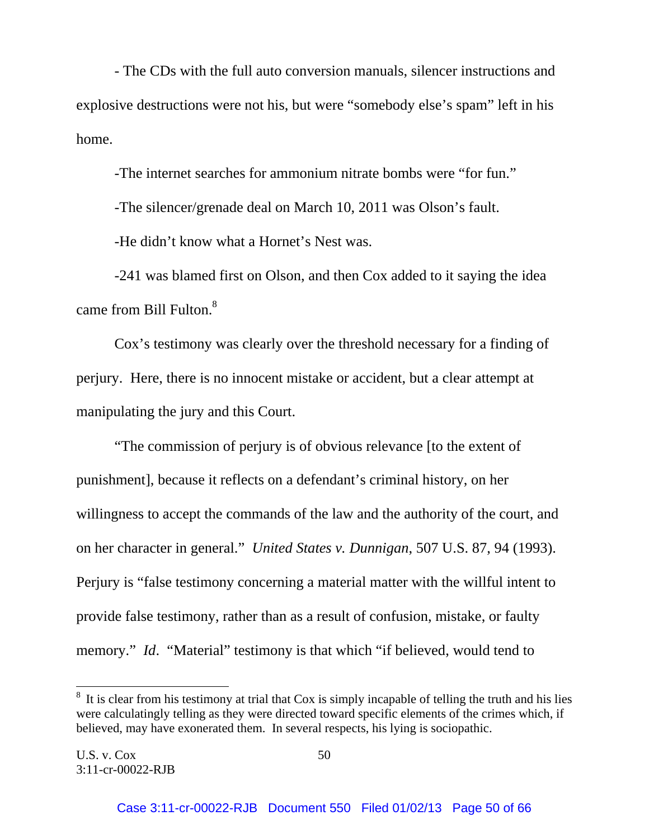- The CDs with the full auto conversion manuals, silencer instructions and explosive destructions were not his, but were "somebody else's spam" left in his home.

-The internet searches for ammonium nitrate bombs were "for fun."

-The silencer/grenade deal on March 10, 2011 was Olson's fault.

-He didn't know what a Hornet's Nest was.

 -241 was blamed first on Olson, and then Cox added to it saying the idea came from Bill Fulton.<sup>8</sup>

 Cox's testimony was clearly over the threshold necessary for a finding of perjury. Here, there is no innocent mistake or accident, but a clear attempt at manipulating the jury and this Court.

 "The commission of perjury is of obvious relevance [to the extent of punishment], because it reflects on a defendant's criminal history, on her willingness to accept the commands of the law and the authority of the court, and on her character in general." *United States v. Dunnigan*, 507 U.S. 87, 94 (1993). Perjury is "false testimony concerning a material matter with the willful intent to provide false testimony, rather than as a result of confusion, mistake, or faulty memory." *Id.* "Material" testimony is that which "if believed, would tend to

l

 $8\,$  It is clear from his testimony at trial that Cox is simply incapable of telling the truth and his lies were calculatingly telling as they were directed toward specific elements of the crimes which, if believed, may have exonerated them. In several respects, his lying is sociopathic.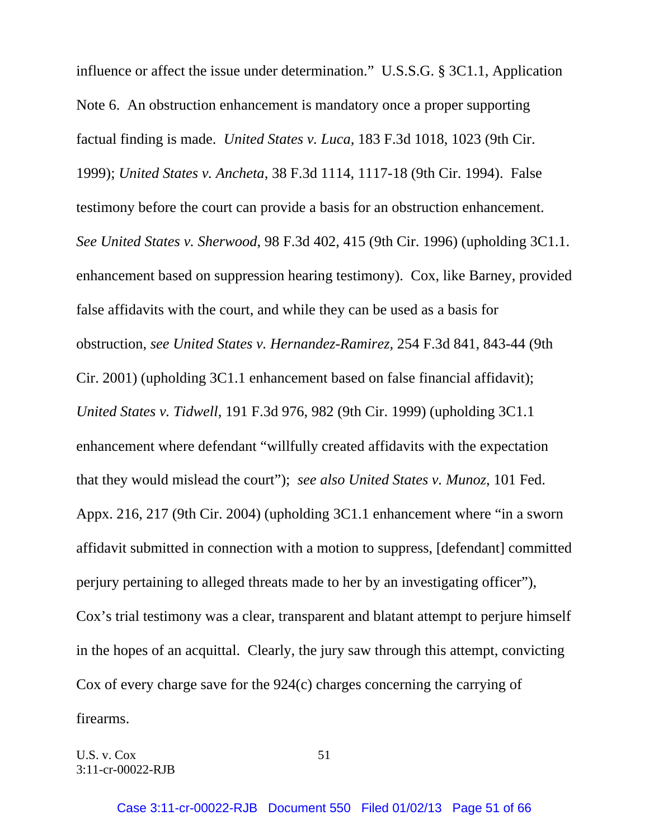influence or affect the issue under determination." U.S.S.G. § 3C1.1, Application Note 6. An obstruction enhancement is mandatory once a proper supporting factual finding is made. *United States v. Luca,* 183 F.3d 1018, 1023 (9th Cir. 1999); *United States v. Ancheta*, 38 F.3d 1114, 1117-18 (9th Cir. 1994). False testimony before the court can provide a basis for an obstruction enhancement. *See United States v. Sherwood*, 98 F.3d 402, 415 (9th Cir. 1996) (upholding 3C1.1. enhancement based on suppression hearing testimony). Cox, like Barney, provided false affidavits with the court, and while they can be used as a basis for obstruction, *see United States v. Hernandez-Ramirez,* 254 F.3d 841, 843-44 (9th Cir. 2001) (upholding 3C1.1 enhancement based on false financial affidavit); *United States v. Tidwell*, 191 F.3d 976, 982 (9th Cir. 1999) (upholding 3C1.1 enhancement where defendant "willfully created affidavits with the expectation that they would mislead the court"); *see also United States v. Munoz*, 101 Fed. Appx. 216, 217 (9th Cir. 2004) (upholding 3C1.1 enhancement where "in a sworn affidavit submitted in connection with a motion to suppress, [defendant] committed perjury pertaining to alleged threats made to her by an investigating officer"), Cox's trial testimony was a clear, transparent and blatant attempt to perjure himself in the hopes of an acquittal. Clearly, the jury saw through this attempt, convicting Cox of every charge save for the 924(c) charges concerning the carrying of firearms.

U.S. v.  $Cox$  51 3:11-cr-00022-RJB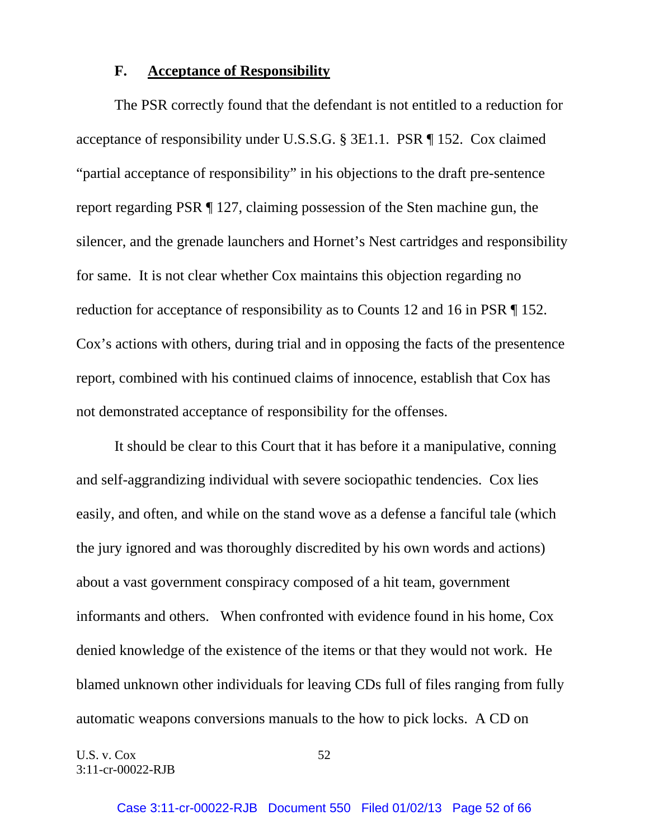#### **F. Acceptance of Responsibility**

 The PSR correctly found that the defendant is not entitled to a reduction for acceptance of responsibility under U.S.S.G. § 3E1.1. PSR ¶ 152. Cox claimed "partial acceptance of responsibility" in his objections to the draft pre-sentence report regarding PSR ¶ 127, claiming possession of the Sten machine gun, the silencer, and the grenade launchers and Hornet's Nest cartridges and responsibility for same. It is not clear whether Cox maintains this objection regarding no reduction for acceptance of responsibility as to Counts 12 and 16 in PSR ¶ 152. Cox's actions with others, during trial and in opposing the facts of the presentence report, combined with his continued claims of innocence, establish that Cox has not demonstrated acceptance of responsibility for the offenses.

 It should be clear to this Court that it has before it a manipulative, conning and self-aggrandizing individual with severe sociopathic tendencies. Cox lies easily, and often, and while on the stand wove as a defense a fanciful tale (which the jury ignored and was thoroughly discredited by his own words and actions) about a vast government conspiracy composed of a hit team, government informants and others. When confronted with evidence found in his home, Cox denied knowledge of the existence of the items or that they would not work. He blamed unknown other individuals for leaving CDs full of files ranging from fully automatic weapons conversions manuals to the how to pick locks. A CD on

U.S. v.  $Cox$  52 3:11-cr-00022-RJB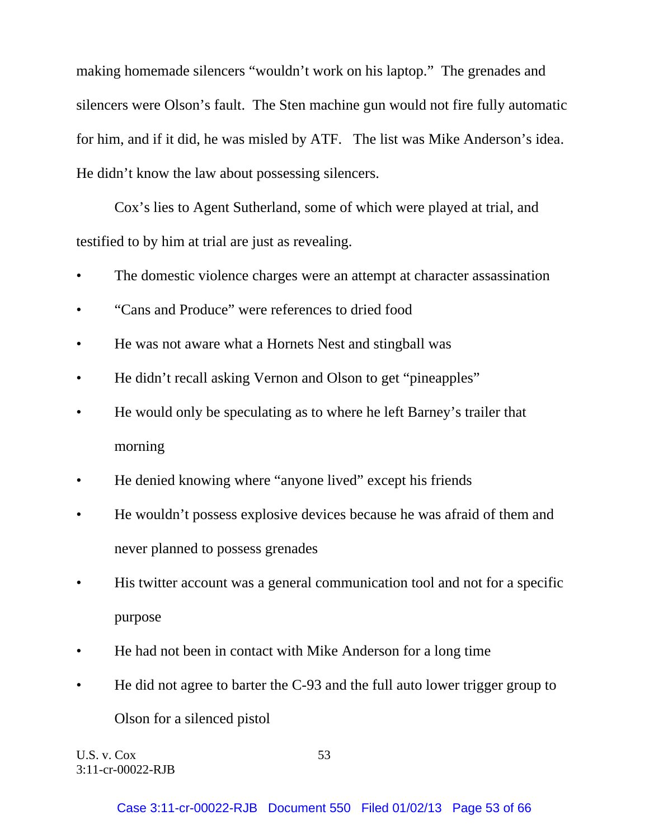making homemade silencers "wouldn't work on his laptop." The grenades and silencers were Olson's fault. The Sten machine gun would not fire fully automatic for him, and if it did, he was misled by ATF. The list was Mike Anderson's idea. He didn't know the law about possessing silencers.

 Cox's lies to Agent Sutherland, some of which were played at trial, and testified to by him at trial are just as revealing.

- The domestic violence charges were an attempt at character assassination
- "Cans and Produce" were references to dried food
- He was not aware what a Hornets Nest and stingball was
- He didn't recall asking Vernon and Olson to get "pineapples"
- He would only be speculating as to where he left Barney's trailer that morning
- He denied knowing where "anyone lived" except his friends
- He wouldn't possess explosive devices because he was afraid of them and never planned to possess grenades
- His twitter account was a general communication tool and not for a specific purpose
- He had not been in contact with Mike Anderson for a long time
- He did not agree to barter the C-93 and the full auto lower trigger group to Olson for a silenced pistol

U.S. v.  $Cox$  53 3:11-cr-00022-RJB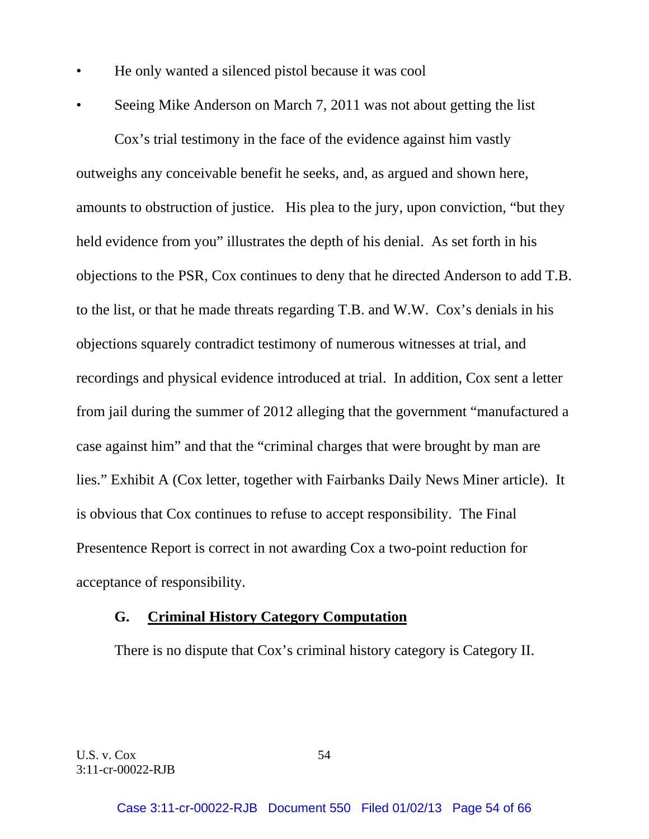- He only wanted a silenced pistol because it was cool
- Seeing Mike Anderson on March 7, 2011 was not about getting the list

 Cox's trial testimony in the face of the evidence against him vastly outweighs any conceivable benefit he seeks, and, as argued and shown here, amounts to obstruction of justice. His plea to the jury, upon conviction, "but they held evidence from you" illustrates the depth of his denial. As set forth in his objections to the PSR, Cox continues to deny that he directed Anderson to add T.B. to the list, or that he made threats regarding T.B. and W.W. Cox's denials in his objections squarely contradict testimony of numerous witnesses at trial, and recordings and physical evidence introduced at trial. In addition, Cox sent a letter from jail during the summer of 2012 alleging that the government "manufactured a case against him" and that the "criminal charges that were brought by man are lies." Exhibit A (Cox letter, together with Fairbanks Daily News Miner article). It is obvious that Cox continues to refuse to accept responsibility. The Final Presentence Report is correct in not awarding Cox a two-point reduction for acceptance of responsibility.

#### **G. Criminal History Category Computation**

There is no dispute that Cox's criminal history category is Category II.

U.S. v. Cox 54 3:11-cr-00022-RJB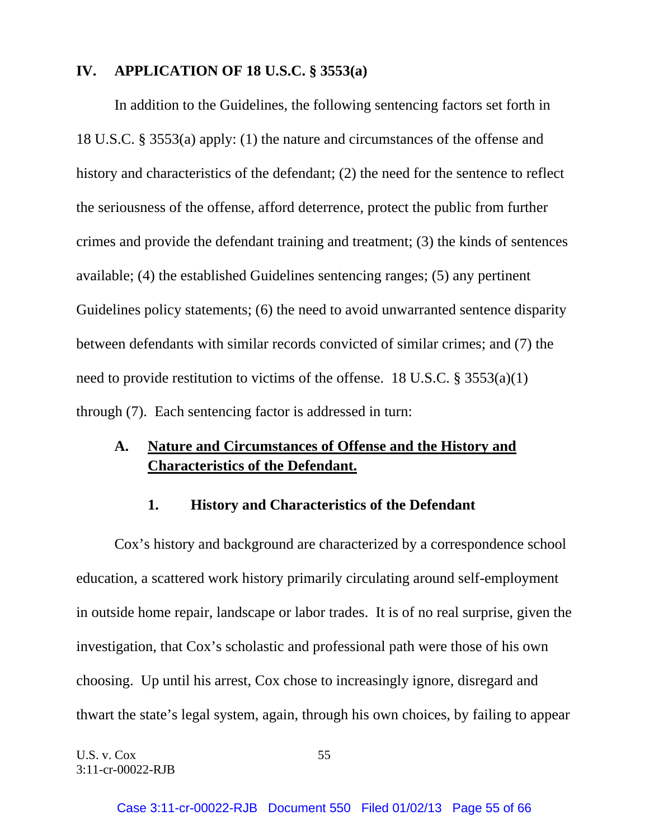## **IV. APPLICATION OF 18 U.S.C. § 3553(a)**

 In addition to the Guidelines, the following sentencing factors set forth in 18 U.S.C. § 3553(a) apply: (1) the nature and circumstances of the offense and history and characteristics of the defendant; (2) the need for the sentence to reflect the seriousness of the offense, afford deterrence, protect the public from further crimes and provide the defendant training and treatment; (3) the kinds of sentences available; (4) the established Guidelines sentencing ranges; (5) any pertinent Guidelines policy statements; (6) the need to avoid unwarranted sentence disparity between defendants with similar records convicted of similar crimes; and (7) the need to provide restitution to victims of the offense. 18 U.S.C. § 3553(a)(1) through (7). Each sentencing factor is addressed in turn:

# **A. Nature and Circumstances of Offense and the History and Characteristics of the Defendant.**

## **1. History and Characteristics of the Defendant**

 Cox's history and background are characterized by a correspondence school education, a scattered work history primarily circulating around self-employment in outside home repair, landscape or labor trades. It is of no real surprise, given the investigation, that Cox's scholastic and professional path were those of his own choosing. Up until his arrest, Cox chose to increasingly ignore, disregard and thwart the state's legal system, again, through his own choices, by failing to appear

U.S. v.  $Cox$  55 3:11-cr-00022-RJB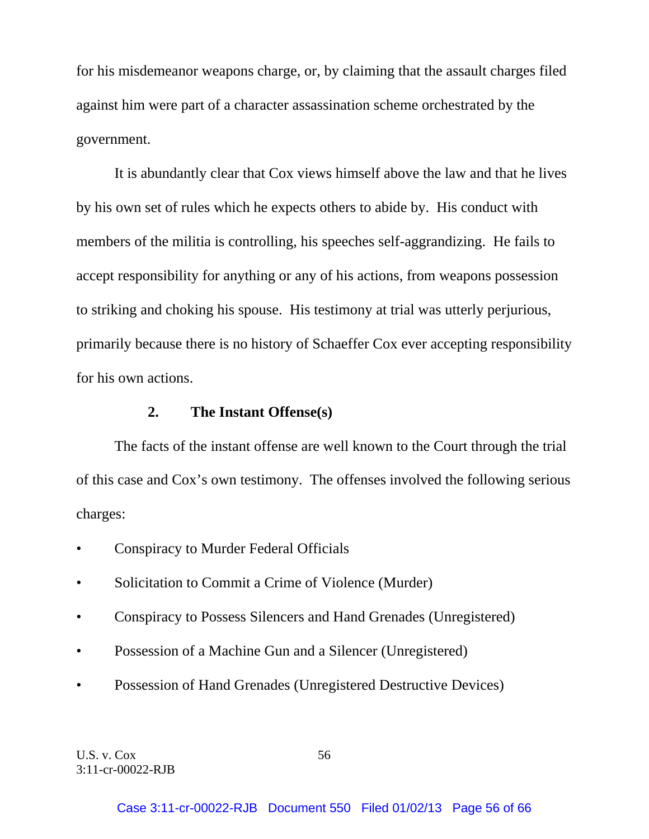for his misdemeanor weapons charge, or, by claiming that the assault charges filed against him were part of a character assassination scheme orchestrated by the government.

 It is abundantly clear that Cox views himself above the law and that he lives by his own set of rules which he expects others to abide by. His conduct with members of the militia is controlling, his speeches self-aggrandizing. He fails to accept responsibility for anything or any of his actions, from weapons possession to striking and choking his spouse. His testimony at trial was utterly perjurious, primarily because there is no history of Schaeffer Cox ever accepting responsibility for his own actions.

#### **2. The Instant Offense(s)**

 The facts of the instant offense are well known to the Court through the trial of this case and Cox's own testimony. The offenses involved the following serious charges:

- Conspiracy to Murder Federal Officials
- Solicitation to Commit a Crime of Violence (Murder)
- Conspiracy to Possess Silencers and Hand Grenades (Unregistered)
- Possession of a Machine Gun and a Silencer (Unregistered)
- Possession of Hand Grenades (Unregistered Destructive Devices)

U.S. v.  $Cox$  56 3:11-cr-00022-RJB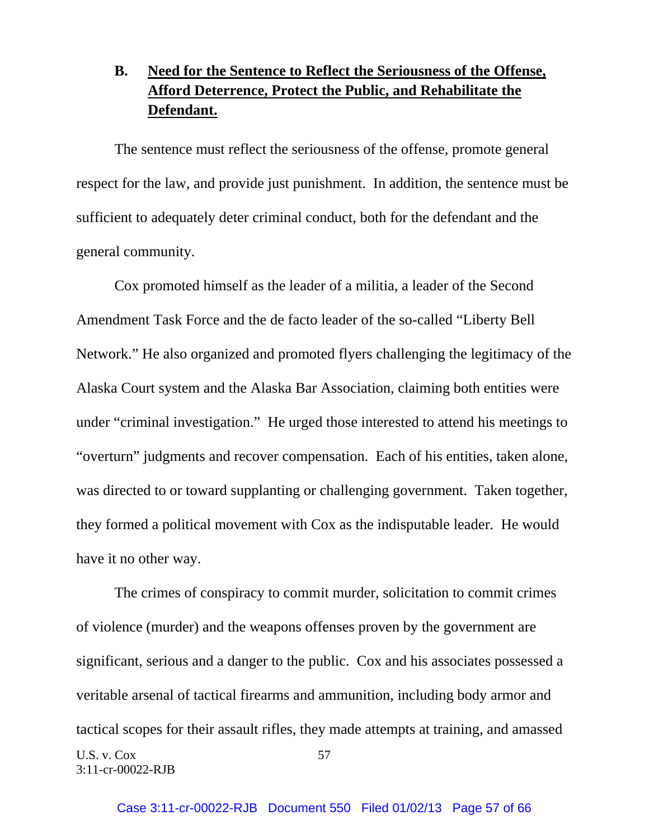# **B. Need for the Sentence to Reflect the Seriousness of the Offense, Afford Deterrence, Protect the Public, and Rehabilitate the Defendant.**

 The sentence must reflect the seriousness of the offense, promote general respect for the law, and provide just punishment. In addition, the sentence must be sufficient to adequately deter criminal conduct, both for the defendant and the general community.

 Cox promoted himself as the leader of a militia, a leader of the Second Amendment Task Force and the de facto leader of the so-called "Liberty Bell Network." He also organized and promoted flyers challenging the legitimacy of the Alaska Court system and the Alaska Bar Association, claiming both entities were under "criminal investigation." He urged those interested to attend his meetings to "overturn" judgments and recover compensation. Each of his entities, taken alone, was directed to or toward supplanting or challenging government. Taken together, they formed a political movement with Cox as the indisputable leader. He would have it no other way.

U.S. v. Cox 57 3:11-cr-00022-RJB The crimes of conspiracy to commit murder, solicitation to commit crimes of violence (murder) and the weapons offenses proven by the government are significant, serious and a danger to the public. Cox and his associates possessed a veritable arsenal of tactical firearms and ammunition, including body armor and tactical scopes for their assault rifles, they made attempts at training, and amassed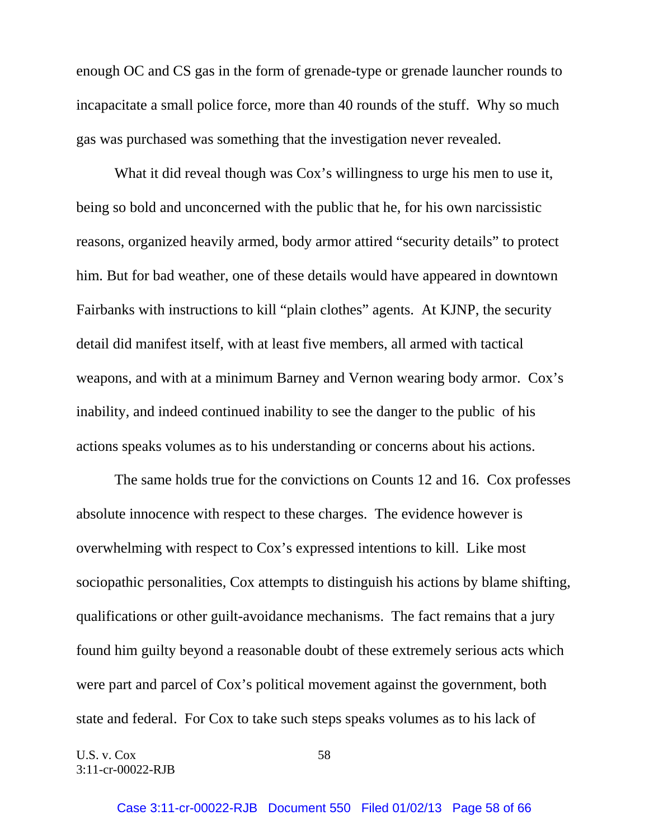enough OC and CS gas in the form of grenade-type or grenade launcher rounds to incapacitate a small police force, more than 40 rounds of the stuff. Why so much gas was purchased was something that the investigation never revealed.

What it did reveal though was Cox's willingness to urge his men to use it, being so bold and unconcerned with the public that he, for his own narcissistic reasons, organized heavily armed, body armor attired "security details" to protect him. But for bad weather, one of these details would have appeared in downtown Fairbanks with instructions to kill "plain clothes" agents. At KJNP, the security detail did manifest itself, with at least five members, all armed with tactical weapons, and with at a minimum Barney and Vernon wearing body armor. Cox's inability, and indeed continued inability to see the danger to the public of his actions speaks volumes as to his understanding or concerns about his actions.

 The same holds true for the convictions on Counts 12 and 16. Cox professes absolute innocence with respect to these charges. The evidence however is overwhelming with respect to Cox's expressed intentions to kill. Like most sociopathic personalities, Cox attempts to distinguish his actions by blame shifting, qualifications or other guilt-avoidance mechanisms. The fact remains that a jury found him guilty beyond a reasonable doubt of these extremely serious acts which were part and parcel of Cox's political movement against the government, both state and federal. For Cox to take such steps speaks volumes as to his lack of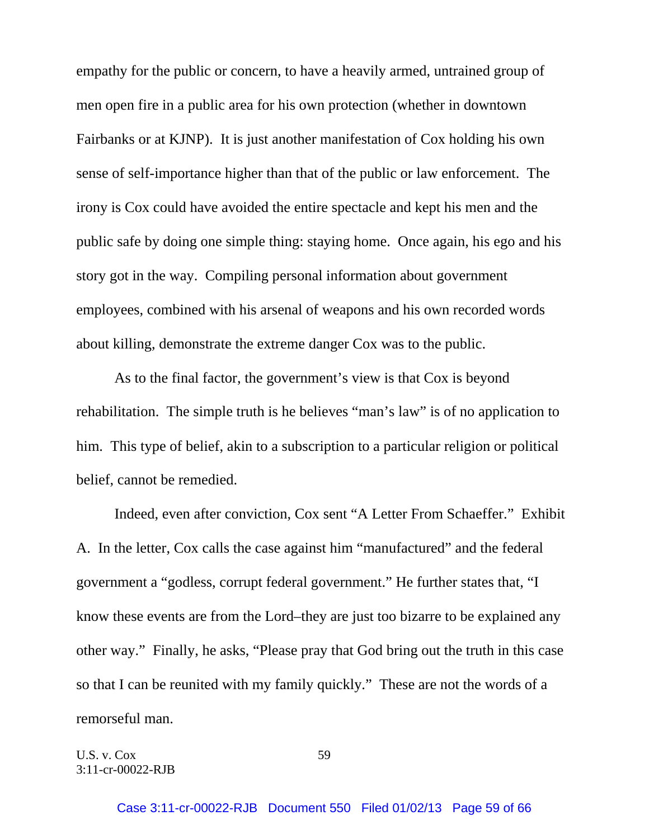empathy for the public or concern, to have a heavily armed, untrained group of men open fire in a public area for his own protection (whether in downtown Fairbanks or at KJNP). It is just another manifestation of Cox holding his own sense of self-importance higher than that of the public or law enforcement. The irony is Cox could have avoided the entire spectacle and kept his men and the public safe by doing one simple thing: staying home. Once again, his ego and his story got in the way. Compiling personal information about government employees, combined with his arsenal of weapons and his own recorded words about killing, demonstrate the extreme danger Cox was to the public.

 As to the final factor, the government's view is that Cox is beyond rehabilitation. The simple truth is he believes "man's law" is of no application to him. This type of belief, akin to a subscription to a particular religion or political belief, cannot be remedied.

 Indeed, even after conviction, Cox sent "A Letter From Schaeffer." Exhibit A. In the letter, Cox calls the case against him "manufactured" and the federal government a "godless, corrupt federal government." He further states that, "I know these events are from the Lord–they are just too bizarre to be explained any other way." Finally, he asks, "Please pray that God bring out the truth in this case so that I can be reunited with my family quickly." These are not the words of a remorseful man.

U.S. v. Cox 59 3:11-cr-00022-RJB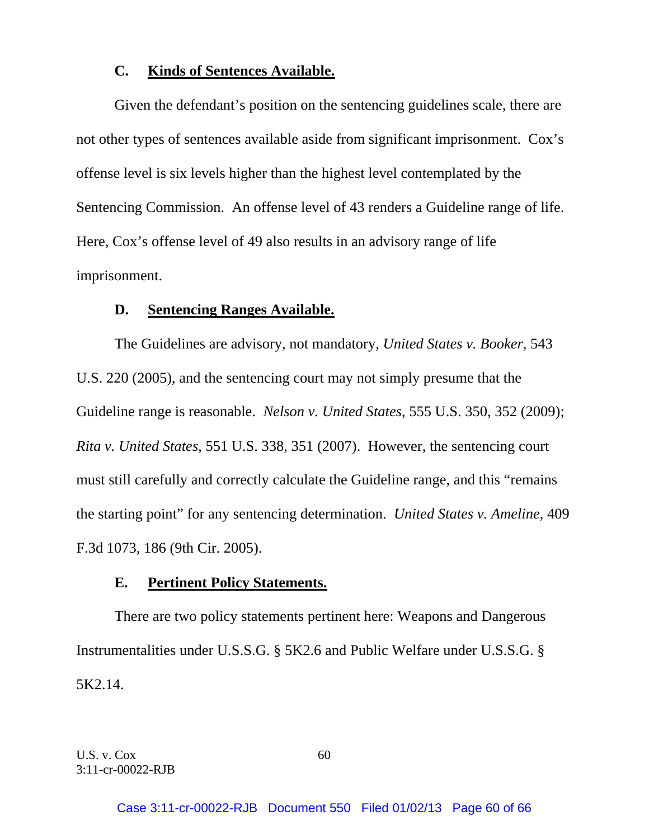## **C. Kinds of Sentences Available.**

 Given the defendant's position on the sentencing guidelines scale, there are not other types of sentences available aside from significant imprisonment. Cox's offense level is six levels higher than the highest level contemplated by the Sentencing Commission. An offense level of 43 renders a Guideline range of life. Here, Cox's offense level of 49 also results in an advisory range of life imprisonment.

## **D. Sentencing Ranges Available.**

 The Guidelines are advisory, not mandatory, *United States v. Booker*, 543 U.S. 220 (2005), and the sentencing court may not simply presume that the Guideline range is reasonable. *Nelson v. United States*, 555 U.S. 350, 352 (2009); *Rita v. United States*, 551 U.S. 338, 351 (2007). However, the sentencing court must still carefully and correctly calculate the Guideline range, and this "remains the starting point" for any sentencing determination. *United States v. Ameline*, 409 F.3d 1073, 186 (9th Cir. 2005).

## **E. Pertinent Policy Statements.**

 There are two policy statements pertinent here: Weapons and Dangerous Instrumentalities under U.S.S.G. § 5K2.6 and Public Welfare under U.S.S.G. § 5K2.14.

U.S. v.  $Cox$  60 3:11-cr-00022-RJB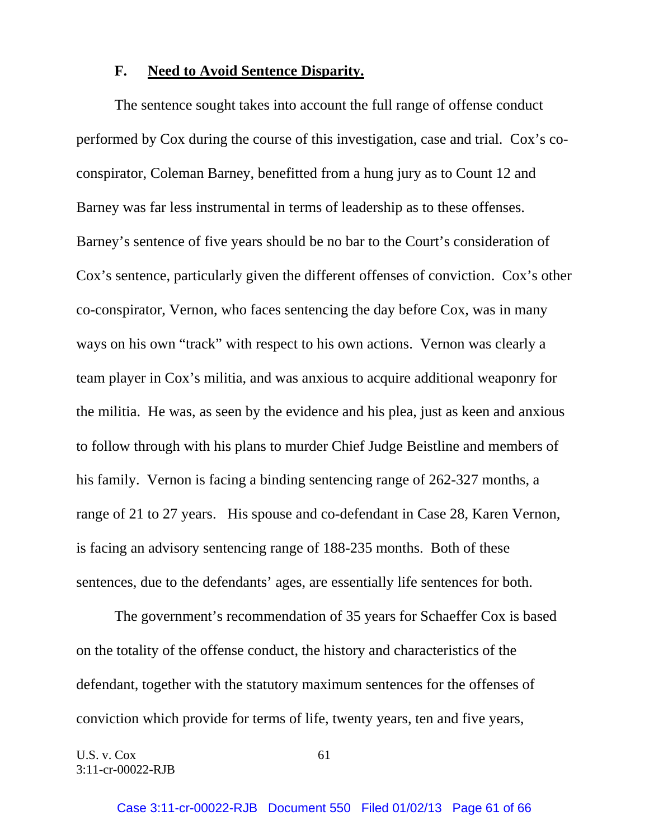## **F. Need to Avoid Sentence Disparity.**

 The sentence sought takes into account the full range of offense conduct performed by Cox during the course of this investigation, case and trial. Cox's coconspirator, Coleman Barney, benefitted from a hung jury as to Count 12 and Barney was far less instrumental in terms of leadership as to these offenses. Barney's sentence of five years should be no bar to the Court's consideration of Cox's sentence, particularly given the different offenses of conviction. Cox's other co-conspirator, Vernon, who faces sentencing the day before Cox, was in many ways on his own "track" with respect to his own actions. Vernon was clearly a team player in Cox's militia, and was anxious to acquire additional weaponry for the militia. He was, as seen by the evidence and his plea, just as keen and anxious to follow through with his plans to murder Chief Judge Beistline and members of his family. Vernon is facing a binding sentencing range of 262-327 months, a range of 21 to 27 years. His spouse and co-defendant in Case 28, Karen Vernon, is facing an advisory sentencing range of 188-235 months. Both of these sentences, due to the defendants' ages, are essentially life sentences for both.

 The government's recommendation of 35 years for Schaeffer Cox is based on the totality of the offense conduct, the history and characteristics of the defendant, together with the statutory maximum sentences for the offenses of conviction which provide for terms of life, twenty years, ten and five years,

U.S. v.  $Cox$  61 3:11-cr-00022-RJB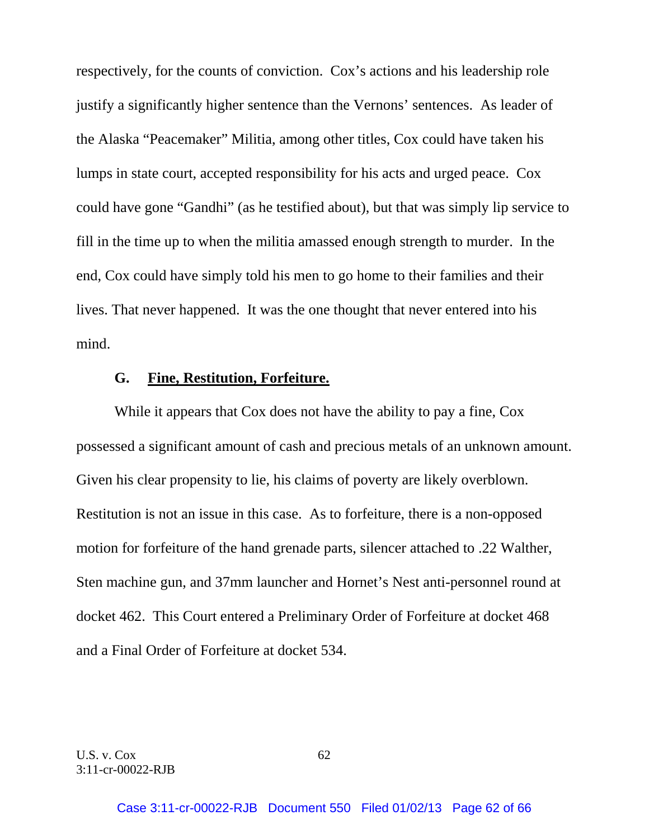respectively, for the counts of conviction. Cox's actions and his leadership role justify a significantly higher sentence than the Vernons' sentences. As leader of the Alaska "Peacemaker" Militia, among other titles, Cox could have taken his lumps in state court, accepted responsibility for his acts and urged peace. Cox could have gone "Gandhi" (as he testified about), but that was simply lip service to fill in the time up to when the militia amassed enough strength to murder. In the end, Cox could have simply told his men to go home to their families and their lives. That never happened. It was the one thought that never entered into his mind.

#### **G. Fine, Restitution, Forfeiture.**

 While it appears that Cox does not have the ability to pay a fine, Cox possessed a significant amount of cash and precious metals of an unknown amount. Given his clear propensity to lie, his claims of poverty are likely overblown. Restitution is not an issue in this case. As to forfeiture, there is a non-opposed motion for forfeiture of the hand grenade parts, silencer attached to .22 Walther, Sten machine gun, and 37mm launcher and Hornet's Nest anti-personnel round at docket 462. This Court entered a Preliminary Order of Forfeiture at docket 468 and a Final Order of Forfeiture at docket 534.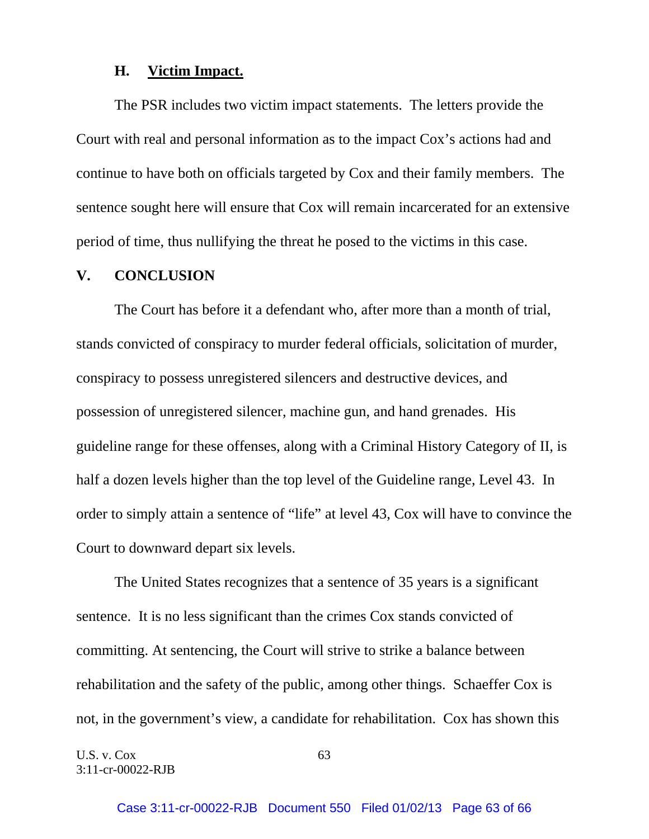## **H. Victim Impact.**

 The PSR includes two victim impact statements. The letters provide the Court with real and personal information as to the impact Cox's actions had and continue to have both on officials targeted by Cox and their family members. The sentence sought here will ensure that Cox will remain incarcerated for an extensive period of time, thus nullifying the threat he posed to the victims in this case.

#### **V. CONCLUSION**

 The Court has before it a defendant who, after more than a month of trial, stands convicted of conspiracy to murder federal officials, solicitation of murder, conspiracy to possess unregistered silencers and destructive devices, and possession of unregistered silencer, machine gun, and hand grenades. His guideline range for these offenses, along with a Criminal History Category of II, is half a dozen levels higher than the top level of the Guideline range, Level 43. In order to simply attain a sentence of "life" at level 43, Cox will have to convince the Court to downward depart six levels.

 The United States recognizes that a sentence of 35 years is a significant sentence. It is no less significant than the crimes Cox stands convicted of committing. At sentencing, the Court will strive to strike a balance between rehabilitation and the safety of the public, among other things. Schaeffer Cox is not, in the government's view, a candidate for rehabilitation. Cox has shown this

U.S. v.  $Cox$  63 3:11-cr-00022-RJB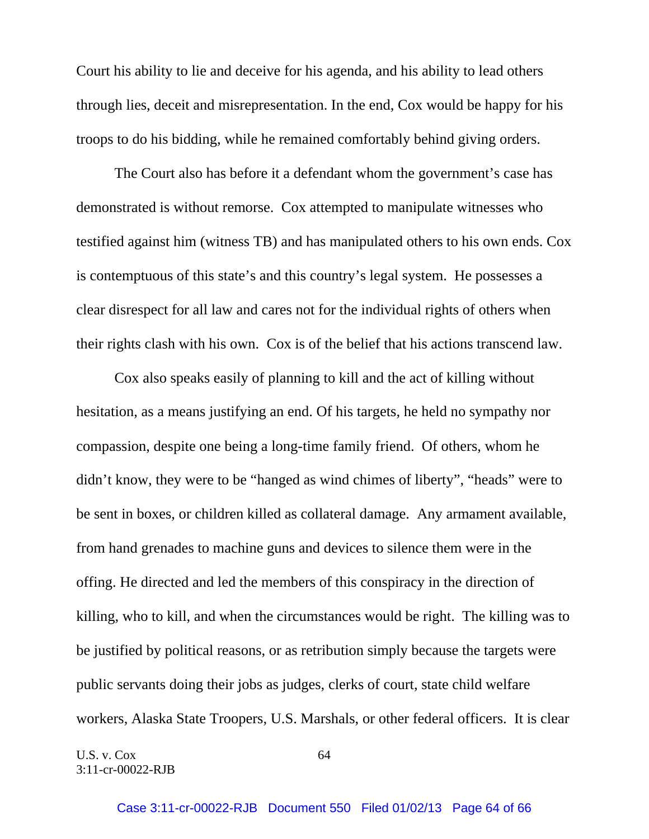Court his ability to lie and deceive for his agenda, and his ability to lead others through lies, deceit and misrepresentation. In the end, Cox would be happy for his troops to do his bidding, while he remained comfortably behind giving orders.

 The Court also has before it a defendant whom the government's case has demonstrated is without remorse. Cox attempted to manipulate witnesses who testified against him (witness TB) and has manipulated others to his own ends. Cox is contemptuous of this state's and this country's legal system. He possesses a clear disrespect for all law and cares not for the individual rights of others when their rights clash with his own. Cox is of the belief that his actions transcend law.

 Cox also speaks easily of planning to kill and the act of killing without hesitation, as a means justifying an end. Of his targets, he held no sympathy nor compassion, despite one being a long-time family friend. Of others, whom he didn't know, they were to be "hanged as wind chimes of liberty", "heads" were to be sent in boxes, or children killed as collateral damage. Any armament available, from hand grenades to machine guns and devices to silence them were in the offing. He directed and led the members of this conspiracy in the direction of killing, who to kill, and when the circumstances would be right. The killing was to be justified by political reasons, or as retribution simply because the targets were public servants doing their jobs as judges, clerks of court, state child welfare workers, Alaska State Troopers, U.S. Marshals, or other federal officers. It is clear

U.S. v.  $Cox$  64 3:11-cr-00022-RJB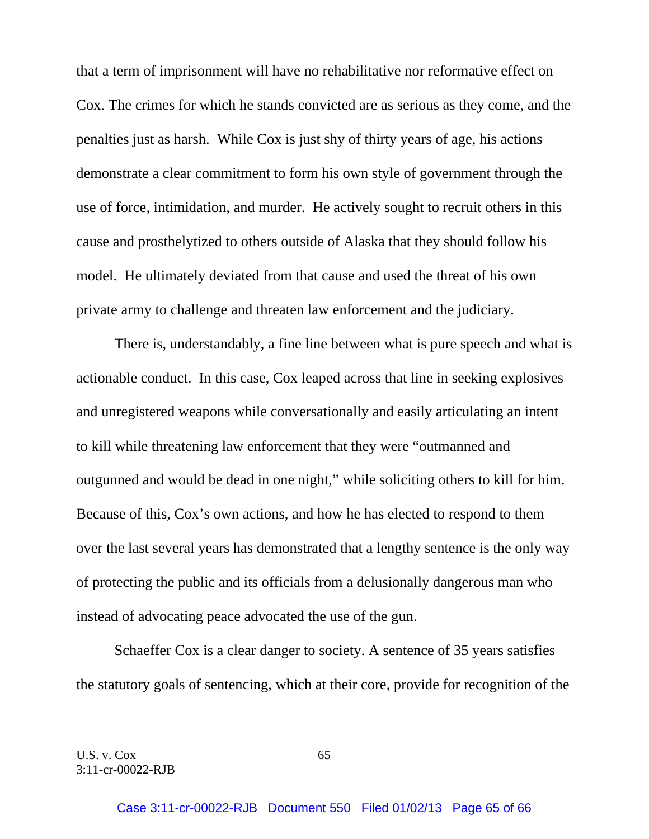that a term of imprisonment will have no rehabilitative nor reformative effect on Cox. The crimes for which he stands convicted are as serious as they come, and the penalties just as harsh. While Cox is just shy of thirty years of age, his actions demonstrate a clear commitment to form his own style of government through the use of force, intimidation, and murder. He actively sought to recruit others in this cause and prosthelytized to others outside of Alaska that they should follow his model. He ultimately deviated from that cause and used the threat of his own private army to challenge and threaten law enforcement and the judiciary.

 There is, understandably, a fine line between what is pure speech and what is actionable conduct. In this case, Cox leaped across that line in seeking explosives and unregistered weapons while conversationally and easily articulating an intent to kill while threatening law enforcement that they were "outmanned and outgunned and would be dead in one night," while soliciting others to kill for him. Because of this, Cox's own actions, and how he has elected to respond to them over the last several years has demonstrated that a lengthy sentence is the only way of protecting the public and its officials from a delusionally dangerous man who instead of advocating peace advocated the use of the gun.

 Schaeffer Cox is a clear danger to society. A sentence of 35 years satisfies the statutory goals of sentencing, which at their core, provide for recognition of the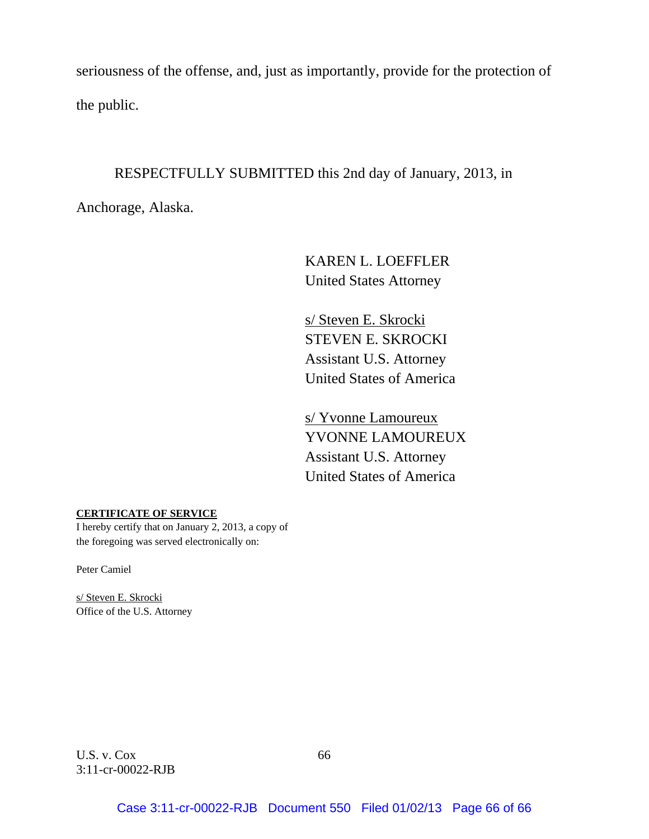seriousness of the offense, and, just as importantly, provide for the protection of the public.

## RESPECTFULLY SUBMITTED this 2nd day of January, 2013, in

Anchorage, Alaska.

 KAREN L. LOEFFLER United States Attorney

 s/ Steven E. Skrocki STEVEN E. SKROCKI Assistant U.S. Attorney United States of America

 s/ Yvonne Lamoureux YVONNE LAMOUREUX Assistant U.S. Attorney United States of America

#### **CERTIFICATE OF SERVICE**

I hereby certify that on January 2, 2013, a copy of the foregoing was served electronically on:

Peter Camiel

s/ Steven E. Skrocki Office of the U.S. Attorney

U.S. v.  $Cox$  66 3:11-cr-00022-RJB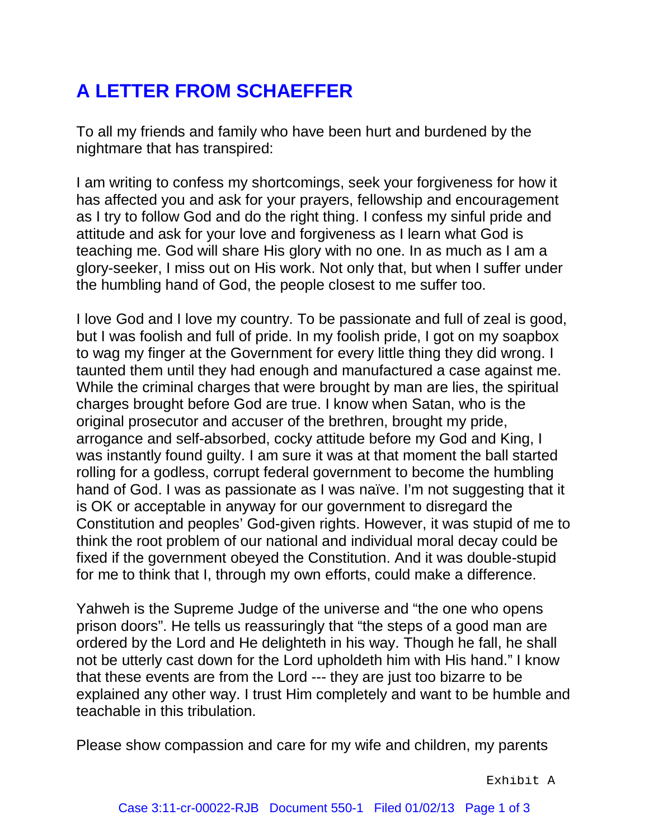# **A LETTER FROM SCHAEFFER**

To all my friends and family who have been hurt and burdened by the nightmare that has transpired:

I am writing to confess my shortcomings, seek your forgiveness for how it has affected you and ask for your prayers, fellowship and encouragement as I try to follow God and do the right thing. I confess my sinful pride and attitude and ask for your love and forgiveness as I learn what God is teaching me. God will share His glory with no one. In as much as I am a glory-seeker, I miss out on His work. Not only that, but when I suffer under the humbling hand of God, the people closest to me suffer too.

I love God and I love my country. To be passionate and full of zeal is good, but I was foolish and full of pride. In my foolish pride, I got on my soapbox to wag my finger at the Government for every little thing they did wrong. I taunted them until they had enough and manufactured a case against me. While the criminal charges that were brought by man are lies, the spiritual charges brought before God are true. I know when Satan, who is the original prosecutor and accuser of the brethren, brought my pride, arrogance and self-absorbed, cocky attitude before my God and King, I was instantly found guilty. I am sure it was at that moment the ball started rolling for a godless, corrupt federal government to become the humbling hand of God. I was as passionate as I was naïve. I'm not suggesting that it is OK or acceptable in anyway for our government to disregard the Constitution and peoples' God-given rights. However, it was stupid of me to think the root problem of our national and individual moral decay could be fixed if the government obeyed the Constitution. And it was double-stupid for me to think that I, through my own efforts, could make a difference.

Yahweh is the Supreme Judge of the universe and "the one who opens prison doors". He tells us reassuringly that "the steps of a good man are ordered by the Lord and He delighteth in his way. Though he fall, he shall not be utterly cast down for the Lord upholdeth him with His hand." I know that these events are from the Lord --- they are just too bizarre to be explained any other way. I trust Him completely and want to be humble and teachable in this tribulation.

Please show compassion and care for my wife and children, my parents

Exhibit A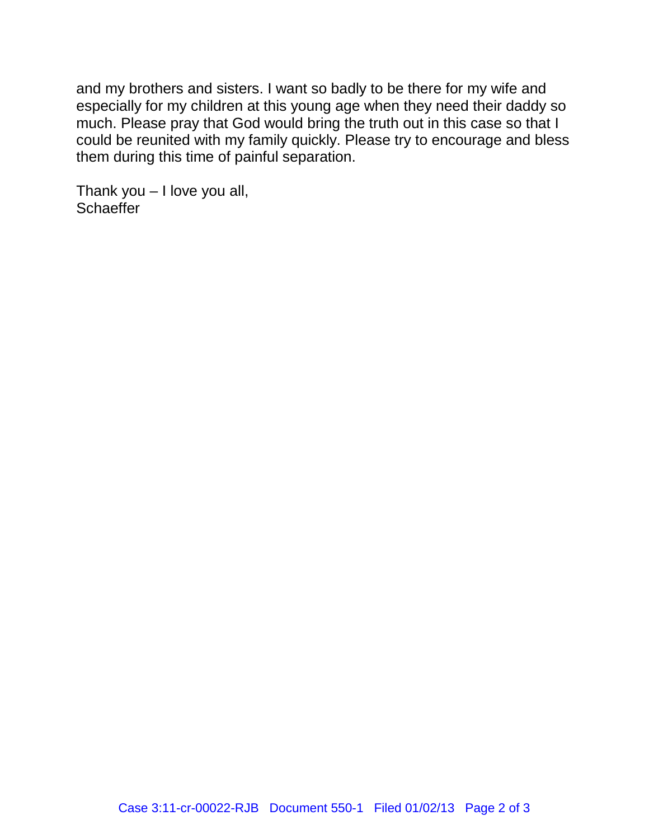and my brothers and sisters. I want so badly to be there for my wife and especially for my children at this young age when they need their daddy so much. Please pray that God would bring the truth out in this case so that I could be reunited with my family quickly. Please try to encourage and bless them during this time of painful separation.

Thank you – I love you all, **Schaeffer**